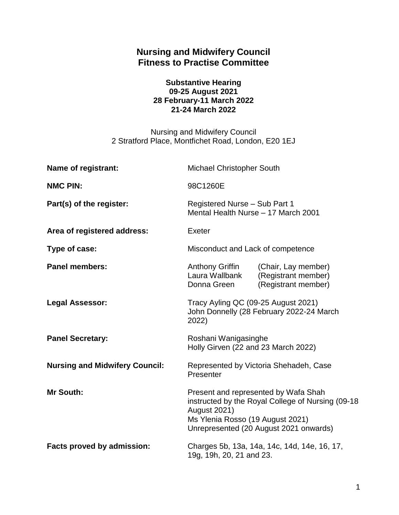# **Nursing and Midwifery Council Fitness to Practise Committee**

#### **Substantive Hearing 09-25 August 2021 28 February-11 March 2022 21-24 March 2022**

Nursing and Midwifery Council 2 Stratford Place, Montfichet Road, London, E20 1EJ

| Name of registrant:                   | Michael Christopher South                                                                                                                                                                       |                                                                   |
|---------------------------------------|-------------------------------------------------------------------------------------------------------------------------------------------------------------------------------------------------|-------------------------------------------------------------------|
| <b>NMC PIN:</b>                       | 98C1260E                                                                                                                                                                                        |                                                                   |
| Part(s) of the register:              | Registered Nurse - Sub Part 1<br>Mental Health Nurse - 17 March 2001                                                                                                                            |                                                                   |
| Area of registered address:           | Exeter                                                                                                                                                                                          |                                                                   |
| Type of case:                         | Misconduct and Lack of competence                                                                                                                                                               |                                                                   |
| <b>Panel members:</b>                 | <b>Anthony Griffin</b><br>Laura Wallbank<br>Donna Green                                                                                                                                         | (Chair, Lay member)<br>(Registrant member)<br>(Registrant member) |
| <b>Legal Assessor:</b>                | Tracy Ayling QC (09-25 August 2021)<br>John Donnelly (28 February 2022-24 March<br>2022)                                                                                                        |                                                                   |
| <b>Panel Secretary:</b>               | Roshani Wanigasinghe<br>Holly Girven (22 and 23 March 2022)                                                                                                                                     |                                                                   |
| <b>Nursing and Midwifery Council:</b> | Represented by Victoria Shehadeh, Case<br>Presenter                                                                                                                                             |                                                                   |
| <b>Mr South:</b>                      | Present and represented by Wafa Shah<br>instructed by the Royal College of Nursing (09-18)<br><b>August 2021)</b><br>Ms Ylenia Rosso (19 August 2021)<br>Unrepresented (20 August 2021 onwards) |                                                                   |
| <b>Facts proved by admission:</b>     | Charges 5b, 13a, 14a, 14c, 14d, 14e, 16, 17,<br>19g, 19h, 20, 21 and 23.                                                                                                                        |                                                                   |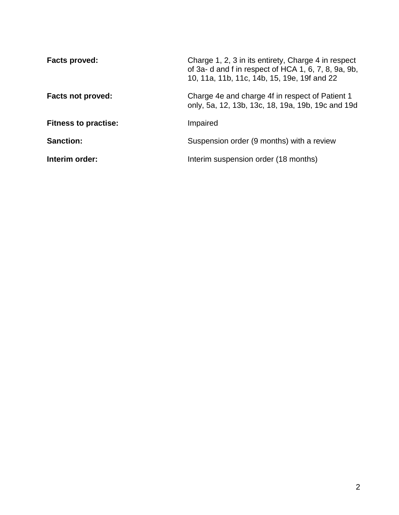| Facts proved:               | Charge 1, 2, 3 in its entirety, Charge 4 in respect<br>of 3a-d and f in respect of HCA 1, 6, 7, 8, 9a, 9b,<br>10, 11a, 11b, 11c, 14b, 15, 19e, 19f and 22 |
|-----------------------------|-----------------------------------------------------------------------------------------------------------------------------------------------------------|
| <b>Facts not proved:</b>    | Charge 4e and charge 4f in respect of Patient 1<br>only, 5a, 12, 13b, 13c, 18, 19a, 19b, 19c and 19d                                                      |
| <b>Fitness to practise:</b> | Impaired                                                                                                                                                  |
| <b>Sanction:</b>            | Suspension order (9 months) with a review                                                                                                                 |
| Interim order:              | Interim suspension order (18 months)                                                                                                                      |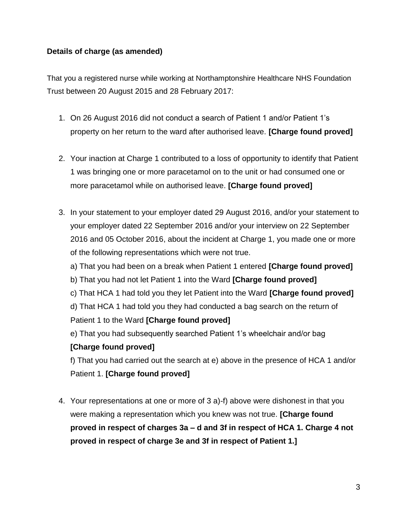## **Details of charge (as amended)**

That you a registered nurse while working at Northamptonshire Healthcare NHS Foundation Trust between 20 August 2015 and 28 February 2017:

- 1. On 26 August 2016 did not conduct a search of Patient 1 and/or Patient 1's property on her return to the ward after authorised leave. **[Charge found proved]**
- 2. Your inaction at Charge 1 contributed to a loss of opportunity to identify that Patient 1 was bringing one or more paracetamol on to the unit or had consumed one or more paracetamol while on authorised leave. **[Charge found proved]**
- 3. In your statement to your employer dated 29 August 2016, and/or your statement to your employer dated 22 September 2016 and/or your interview on 22 September 2016 and 05 October 2016, about the incident at Charge 1, you made one or more of the following representations which were not true. a) That you had been on a break when Patient 1 entered **[Charge found proved]** b) That you had not let Patient 1 into the Ward **[Charge found proved]** c) That HCA 1 had told you they let Patient into the Ward **[Charge found proved]** d) That HCA 1 had told you they had conducted a bag search on the return of Patient 1 to the Ward **[Charge found proved]** e) That you had subsequently searched Patient 1's wheelchair and/or bag **[Charge found proved]** f) That you had carried out the search at e) above in the presence of HCA 1 and/or

Patient 1. **[Charge found proved]**

4. Your representations at one or more of 3 a)-f) above were dishonest in that you were making a representation which you knew was not true. **[Charge found proved in respect of charges 3a – d and 3f in respect of HCA 1. Charge 4 not proved in respect of charge 3e and 3f in respect of Patient 1.]**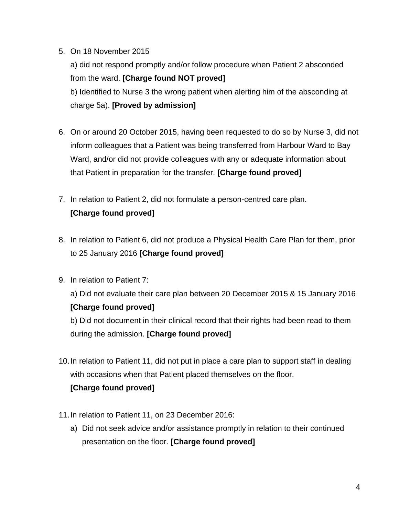## 5. On 18 November 2015

a) did not respond promptly and/or follow procedure when Patient 2 absconded from the ward. **[Charge found NOT proved]** b) Identified to Nurse 3 the wrong patient when alerting him of the absconding at charge 5a). **[Proved by admission]**

- 6. On or around 20 October 2015, having been requested to do so by Nurse 3, did not inform colleagues that a Patient was being transferred from Harbour Ward to Bay Ward, and/or did not provide colleagues with any or adequate information about that Patient in preparation for the transfer. **[Charge found proved]**
- 7. In relation to Patient 2, did not formulate a person-centred care plan. **[Charge found proved]**
- 8. In relation to Patient 6, did not produce a Physical Health Care Plan for them, prior to 25 January 2016 **[Charge found proved]**
- 9. In relation to Patient 7:

a) Did not evaluate their care plan between 20 December 2015 & 15 January 2016 **[Charge found proved]**

b) Did not document in their clinical record that their rights had been read to them during the admission. **[Charge found proved]**

10.In relation to Patient 11, did not put in place a care plan to support staff in dealing with occasions when that Patient placed themselves on the floor.

## **[Charge found proved]**

- 11.In relation to Patient 11, on 23 December 2016:
	- a) Did not seek advice and/or assistance promptly in relation to their continued presentation on the floor. **[Charge found proved]**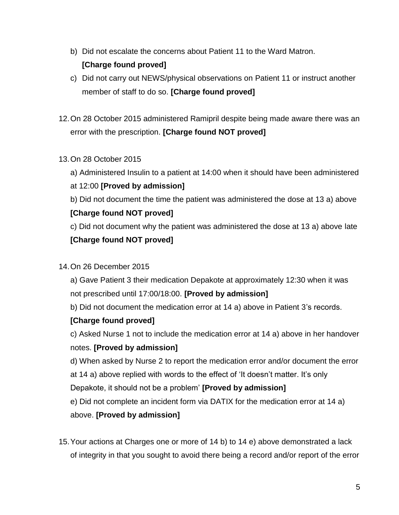- b) Did not escalate the concerns about Patient 11 to the Ward Matron. **[Charge found proved]**
- c) Did not carry out NEWS/physical observations on Patient 11 or instruct another member of staff to do so. **[Charge found proved]**
- 12.On 28 October 2015 administered Ramipril despite being made aware there was an error with the prescription. **[Charge found NOT proved]**
- 13.On 28 October 2015
	- a) Administered Insulin to a patient at 14:00 when it should have been administered
	- at 12:00 **[Proved by admission]**
	- b) Did not document the time the patient was administered the dose at 13 a) above **[Charge found NOT proved]**
	- c) Did not document why the patient was administered the dose at 13 a) above late **[Charge found NOT proved]**
- 14.On 26 December 2015
	- a) Gave Patient 3 their medication Depakote at approximately 12:30 when it was not prescribed until 17:00/18:00. **[Proved by admission]**
	- b) Did not document the medication error at 14 a) above in Patient 3's records.

### **[Charge found proved]**

- c) Asked Nurse 1 not to include the medication error at 14 a) above in her handover notes. **[Proved by admission]**
- d) When asked by Nurse 2 to report the medication error and/or document the error at 14 a) above replied with words to the effect of 'It doesn't matter. It's only
- Depakote, it should not be a problem' **[Proved by admission]**
- e) Did not complete an incident form via DATIX for the medication error at 14 a)

## above. **[Proved by admission]**

15.Your actions at Charges one or more of 14 b) to 14 e) above demonstrated a lack of integrity in that you sought to avoid there being a record and/or report of the error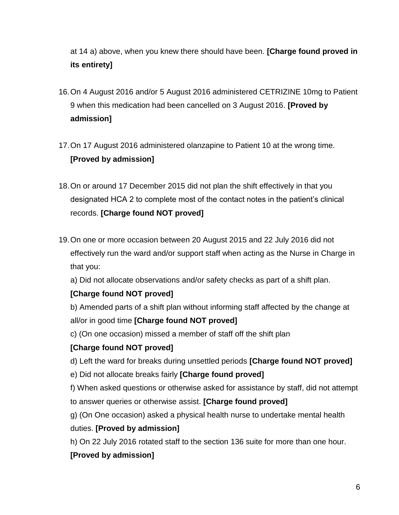at 14 a) above, when you knew there should have been. **[Charge found proved in its entirety]**

- 16.On 4 August 2016 and/or 5 August 2016 administered CETRIZINE 10mg to Patient 9 when this medication had been cancelled on 3 August 2016. **[Proved by admission]**
- 17.On 17 August 2016 administered olanzapine to Patient 10 at the wrong time. **[Proved by admission]**
- 18.On or around 17 December 2015 did not plan the shift effectively in that you designated HCA 2 to complete most of the contact notes in the patient's clinical records. **[Charge found NOT proved]**
- 19.On one or more occasion between 20 August 2015 and 22 July 2016 did not effectively run the ward and/or support staff when acting as the Nurse in Charge in that you:

a) Did not allocate observations and/or safety checks as part of a shift plan.

## **[Charge found NOT proved]**

b) Amended parts of a shift plan without informing staff affected by the change at all/or in good time **[Charge found NOT proved]**

c) (On one occasion) missed a member of staff off the shift plan

## **[Charge found NOT proved]**

- d) Left the ward for breaks during unsettled periods **[Charge found NOT proved]**
- e) Did not allocate breaks fairly **[Charge found proved]**
- f) When asked questions or otherwise asked for assistance by staff, did not attempt to answer queries or otherwise assist. **[Charge found proved]**
- g) (On One occasion) asked a physical health nurse to undertake mental health

## duties. **[Proved by admission]**

h) On 22 July 2016 rotated staff to the section 136 suite for more than one hour.

## **[Proved by admission]**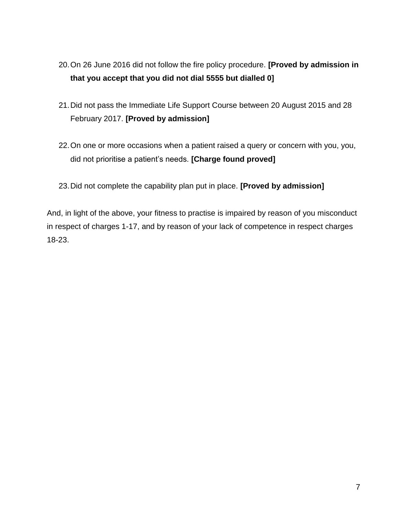- 20.On 26 June 2016 did not follow the fire policy procedure. **[Proved by admission in that you accept that you did not dial 5555 but dialled 0]**
- 21.Did not pass the Immediate Life Support Course between 20 August 2015 and 28 February 2017. **[Proved by admission]**
- 22.On one or more occasions when a patient raised a query or concern with you, you, did not prioritise a patient's needs. **[Charge found proved]**
- 23.Did not complete the capability plan put in place. **[Proved by admission]**

And, in light of the above, your fitness to practise is impaired by reason of you misconduct in respect of charges 1-17, and by reason of your lack of competence in respect charges 18-23.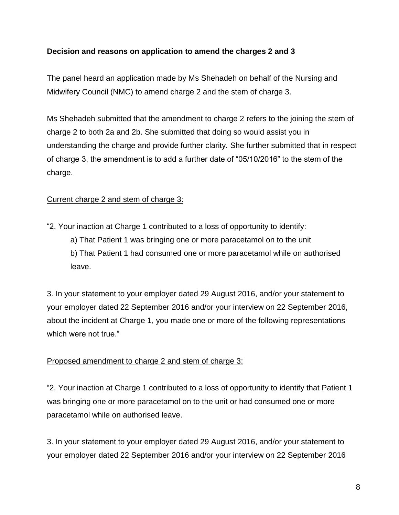## **Decision and reasons on application to amend the charges 2 and 3**

The panel heard an application made by Ms Shehadeh on behalf of the Nursing and Midwifery Council (NMC) to amend charge 2 and the stem of charge 3.

Ms Shehadeh submitted that the amendment to charge 2 refers to the joining the stem of charge 2 to both 2a and 2b. She submitted that doing so would assist you in understanding the charge and provide further clarity. She further submitted that in respect of charge 3, the amendment is to add a further date of "05/10/2016" to the stem of the charge.

## Current charge 2 and stem of charge 3:

- "2. Your inaction at Charge 1 contributed to a loss of opportunity to identify: a) That Patient 1 was bringing one or more paracetamol on to the unit
	- b) That Patient 1 had consumed one or more paracetamol while on authorised leave.

3. In your statement to your employer dated 29 August 2016, and/or your statement to your employer dated 22 September 2016 and/or your interview on 22 September 2016, about the incident at Charge 1, you made one or more of the following representations which were not true."

### Proposed amendment to charge 2 and stem of charge 3:

"2. Your inaction at Charge 1 contributed to a loss of opportunity to identify that Patient 1 was bringing one or more paracetamol on to the unit or had consumed one or more paracetamol while on authorised leave.

3. In your statement to your employer dated 29 August 2016, and/or your statement to your employer dated 22 September 2016 and/or your interview on 22 September 2016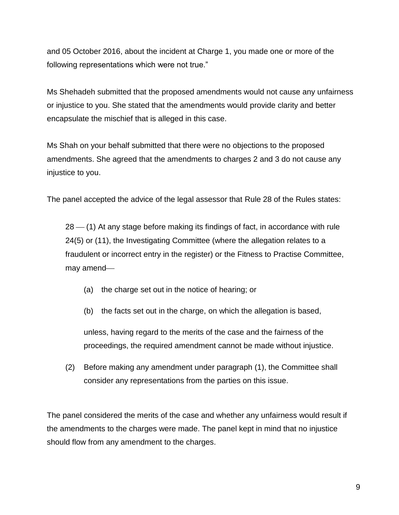and 05 October 2016, about the incident at Charge 1, you made one or more of the following representations which were not true."

Ms Shehadeh submitted that the proposed amendments would not cause any unfairness or injustice to you. She stated that the amendments would provide clarity and better encapsulate the mischief that is alleged in this case.

Ms Shah on your behalf submitted that there were no objections to the proposed amendments. She agreed that the amendments to charges 2 and 3 do not cause any injustice to you.

The panel accepted the advice of the legal assessor that Rule 28 of the Rules states:

 $28 - (1)$  At any stage before making its findings of fact, in accordance with rule 24(5) or (11), the Investigating Committee (where the allegation relates to a fraudulent or incorrect entry in the register) or the Fitness to Practise Committee, may amend

- (a) the charge set out in the notice of hearing; or
- (b) the facts set out in the charge, on which the allegation is based,

unless, having regard to the merits of the case and the fairness of the proceedings, the required amendment cannot be made without injustice.

(2) Before making any amendment under paragraph (1), the Committee shall consider any representations from the parties on this issue.

The panel considered the merits of the case and whether any unfairness would result if the amendments to the charges were made. The panel kept in mind that no injustice should flow from any amendment to the charges.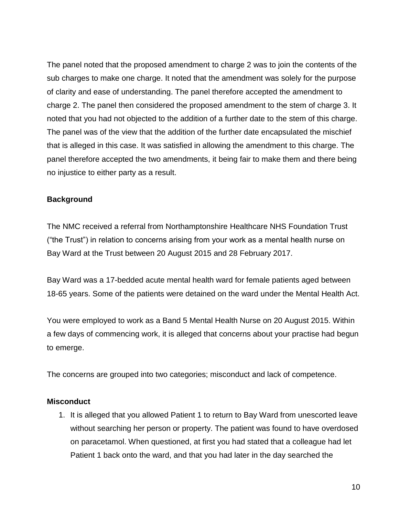The panel noted that the proposed amendment to charge 2 was to join the contents of the sub charges to make one charge. It noted that the amendment was solely for the purpose of clarity and ease of understanding. The panel therefore accepted the amendment to charge 2. The panel then considered the proposed amendment to the stem of charge 3. It noted that you had not objected to the addition of a further date to the stem of this charge. The panel was of the view that the addition of the further date encapsulated the mischief that is alleged in this case. It was satisfied in allowing the amendment to this charge. The panel therefore accepted the two amendments, it being fair to make them and there being no injustice to either party as a result.

### **Background**

The NMC received a referral from Northamptonshire Healthcare NHS Foundation Trust ("the Trust") in relation to concerns arising from your work as a mental health nurse on Bay Ward at the Trust between 20 August 2015 and 28 February 2017.

Bay Ward was a 17-bedded acute mental health ward for female patients aged between 18-65 years. Some of the patients were detained on the ward under the Mental Health Act.

You were employed to work as a Band 5 Mental Health Nurse on 20 August 2015. Within a few days of commencing work, it is alleged that concerns about your practise had begun to emerge.

The concerns are grouped into two categories; misconduct and lack of competence.

#### **Misconduct**

1. It is alleged that you allowed Patient 1 to return to Bay Ward from unescorted leave without searching her person or property. The patient was found to have overdosed on paracetamol. When questioned, at first you had stated that a colleague had let Patient 1 back onto the ward, and that you had later in the day searched the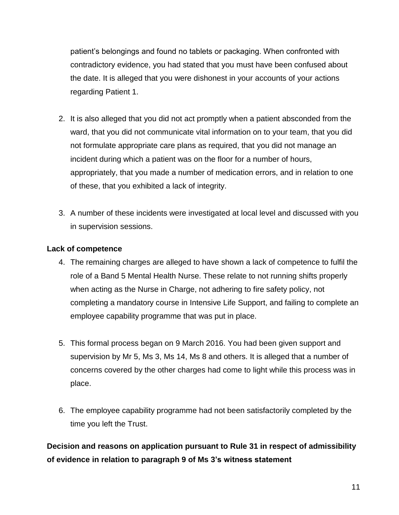patient's belongings and found no tablets or packaging. When confronted with contradictory evidence, you had stated that you must have been confused about the date. It is alleged that you were dishonest in your accounts of your actions regarding Patient 1.

- 2. It is also alleged that you did not act promptly when a patient absconded from the ward, that you did not communicate vital information on to your team, that you did not formulate appropriate care plans as required, that you did not manage an incident during which a patient was on the floor for a number of hours, appropriately, that you made a number of medication errors, and in relation to one of these, that you exhibited a lack of integrity.
- 3. A number of these incidents were investigated at local level and discussed with you in supervision sessions.

## **Lack of competence**

- 4. The remaining charges are alleged to have shown a lack of competence to fulfil the role of a Band 5 Mental Health Nurse. These relate to not running shifts properly when acting as the Nurse in Charge, not adhering to fire safety policy, not completing a mandatory course in Intensive Life Support, and failing to complete an employee capability programme that was put in place.
- 5. This formal process began on 9 March 2016. You had been given support and supervision by Mr 5, Ms 3, Ms 14, Ms 8 and others. It is alleged that a number of concerns covered by the other charges had come to light while this process was in place.
- 6. The employee capability programme had not been satisfactorily completed by the time you left the Trust.

**Decision and reasons on application pursuant to Rule 31 in respect of admissibility of evidence in relation to paragraph 9 of Ms 3's witness statement**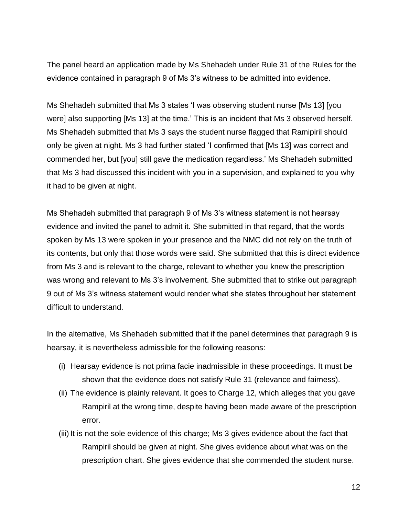The panel heard an application made by Ms Shehadeh under Rule 31 of the Rules for the evidence contained in paragraph 9 of Ms 3's witness to be admitted into evidence.

Ms Shehadeh submitted that Ms 3 states 'I was observing student nurse [Ms 13] [you were] also supporting [Ms 13] at the time.' This is an incident that Ms 3 observed herself. Ms Shehadeh submitted that Ms 3 says the student nurse flagged that Ramipiril should only be given at night. Ms 3 had further stated 'I confirmed that [Ms 13] was correct and commended her, but [you] still gave the medication regardless.' Ms Shehadeh submitted that Ms 3 had discussed this incident with you in a supervision, and explained to you why it had to be given at night.

Ms Shehadeh submitted that paragraph 9 of Ms 3's witness statement is not hearsay evidence and invited the panel to admit it. She submitted in that regard, that the words spoken by Ms 13 were spoken in your presence and the NMC did not rely on the truth of its contents, but only that those words were said. She submitted that this is direct evidence from Ms 3 and is relevant to the charge, relevant to whether you knew the prescription was wrong and relevant to Ms 3's involvement. She submitted that to strike out paragraph 9 out of Ms 3's witness statement would render what she states throughout her statement difficult to understand.

In the alternative, Ms Shehadeh submitted that if the panel determines that paragraph 9 is hearsay, it is nevertheless admissible for the following reasons:

- (i) Hearsay evidence is not prima facie inadmissible in these proceedings. It must be shown that the evidence does not satisfy Rule 31 (relevance and fairness).
- (ii) The evidence is plainly relevant. It goes to Charge 12, which alleges that you gave Rampiril at the wrong time, despite having been made aware of the prescription error.
- (iii) It is not the sole evidence of this charge; Ms 3 gives evidence about the fact that Rampiril should be given at night. She gives evidence about what was on the prescription chart. She gives evidence that she commended the student nurse.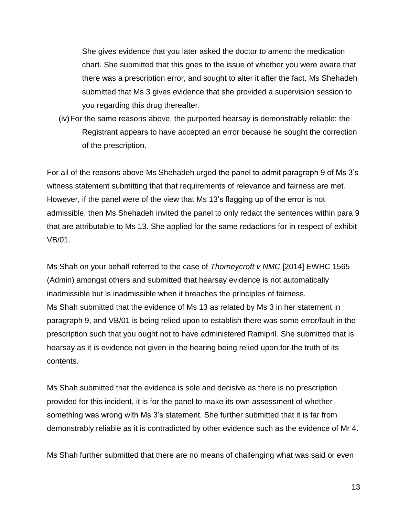She gives evidence that you later asked the doctor to amend the medication chart. She submitted that this goes to the issue of whether you were aware that there was a prescription error, and sought to alter it after the fact. Ms Shehadeh submitted that Ms 3 gives evidence that she provided a supervision session to you regarding this drug thereafter.

(iv)For the same reasons above, the purported hearsay is demonstrably reliable; the Registrant appears to have accepted an error because he sought the correction of the prescription.

For all of the reasons above Ms Shehadeh urged the panel to admit paragraph 9 of Ms 3's witness statement submitting that that requirements of relevance and fairness are met. However, if the panel were of the view that Ms 13's flagging up of the error is not admissible, then Ms Shehadeh invited the panel to only redact the sentences within para 9 that are attributable to Ms 13. She applied for the same redactions for in respect of exhibit VB/01.

Ms Shah on your behalf referred to the case of *Thorneycroft v NMC* [2014] EWHC 1565 (Admin) amongst others and submitted that hearsay evidence is not automatically inadmissible but is inadmissible when it breaches the principles of fairness. Ms Shah submitted that the evidence of Ms 13 as related by Ms 3 in her statement in paragraph 9, and VB/01 is being relied upon to establish there was some error/fault in the prescription such that you ought not to have administered Ramipril. She submitted that is hearsay as it is evidence not given in the hearing being relied upon for the truth of its contents.

Ms Shah submitted that the evidence is sole and decisive as there is no prescription provided for this incident, it is for the panel to make its own assessment of whether something was wrong with Ms 3's statement. She further submitted that it is far from demonstrably reliable as it is contradicted by other evidence such as the evidence of Mr 4.

Ms Shah further submitted that there are no means of challenging what was said or even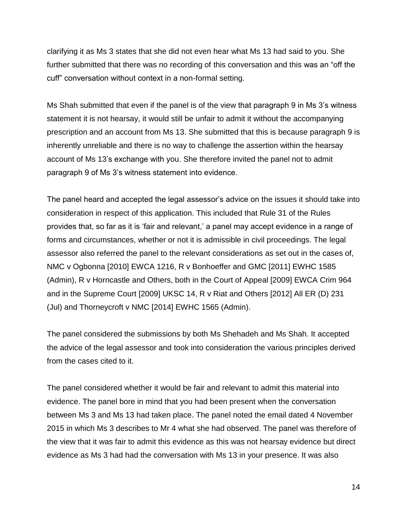clarifying it as Ms 3 states that she did not even hear what Ms 13 had said to you. She further submitted that there was no recording of this conversation and this was an "off the cuff" conversation without context in a non-formal setting.

Ms Shah submitted that even if the panel is of the view that paragraph 9 in Ms 3's witness statement it is not hearsay, it would still be unfair to admit it without the accompanying prescription and an account from Ms 13. She submitted that this is because paragraph 9 is inherently unreliable and there is no way to challenge the assertion within the hearsay account of Ms 13's exchange with you. She therefore invited the panel not to admit paragraph 9 of Ms 3's witness statement into evidence.

The panel heard and accepted the legal assessor's advice on the issues it should take into consideration in respect of this application. This included that Rule 31 of the Rules provides that, so far as it is 'fair and relevant,' a panel may accept evidence in a range of forms and circumstances, whether or not it is admissible in civil proceedings. The legal assessor also referred the panel to the relevant considerations as set out in the cases of, NMC v Ogbonna [2010] EWCA 1216, R v Bonhoeffer and GMC [2011] EWHC 1585 (Admin), R v Horncastle and Others, both in the Court of Appeal [2009] EWCA Crim 964 and in the Supreme Court [2009] UKSC 14, R v Riat and Others [2012] All ER (D) 231 (Jul) and Thorneycroft v NMC [2014] EWHC 1565 (Admin).

The panel considered the submissions by both Ms Shehadeh and Ms Shah. It accepted the advice of the legal assessor and took into consideration the various principles derived from the cases cited to it.

The panel considered whether it would be fair and relevant to admit this material into evidence. The panel bore in mind that you had been present when the conversation between Ms 3 and Ms 13 had taken place. The panel noted the email dated 4 November 2015 in which Ms 3 describes to Mr 4 what she had observed. The panel was therefore of the view that it was fair to admit this evidence as this was not hearsay evidence but direct evidence as Ms 3 had had the conversation with Ms 13 in your presence. It was also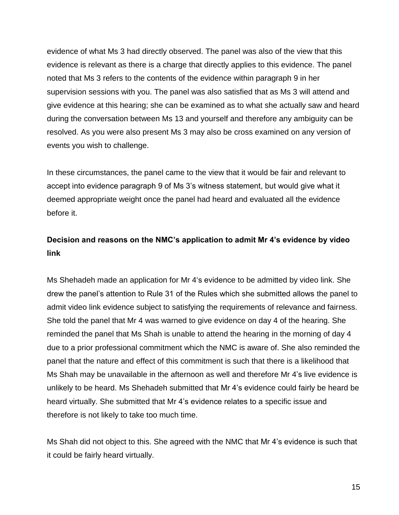evidence of what Ms 3 had directly observed. The panel was also of the view that this evidence is relevant as there is a charge that directly applies to this evidence. The panel noted that Ms 3 refers to the contents of the evidence within paragraph 9 in her supervision sessions with you. The panel was also satisfied that as Ms 3 will attend and give evidence at this hearing; she can be examined as to what she actually saw and heard during the conversation between Ms 13 and yourself and therefore any ambiguity can be resolved. As you were also present Ms 3 may also be cross examined on any version of events you wish to challenge.

In these circumstances, the panel came to the view that it would be fair and relevant to accept into evidence paragraph 9 of Ms 3's witness statement, but would give what it deemed appropriate weight once the panel had heard and evaluated all the evidence before it.

# **Decision and reasons on the NMC's application to admit Mr 4's evidence by video link**

Ms Shehadeh made an application for Mr 4's evidence to be admitted by video link. She drew the panel's attention to Rule 31 of the Rules which she submitted allows the panel to admit video link evidence subject to satisfying the requirements of relevance and fairness. She told the panel that Mr 4 was warned to give evidence on day 4 of the hearing. She reminded the panel that Ms Shah is unable to attend the hearing in the morning of day 4 due to a prior professional commitment which the NMC is aware of. She also reminded the panel that the nature and effect of this commitment is such that there is a likelihood that Ms Shah may be unavailable in the afternoon as well and therefore Mr 4's live evidence is unlikely to be heard. Ms Shehadeh submitted that Mr 4's evidence could fairly be heard be heard virtually. She submitted that Mr 4's evidence relates to a specific issue and therefore is not likely to take too much time.

Ms Shah did not object to this. She agreed with the NMC that Mr 4's evidence is such that it could be fairly heard virtually.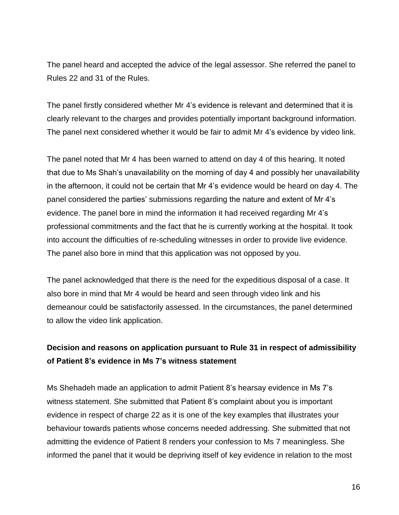The panel heard and accepted the advice of the legal assessor. She referred the panel to Rules 22 and 31 of the Rules.

The panel firstly considered whether Mr 4's evidence is relevant and determined that it is clearly relevant to the charges and provides potentially important background information. The panel next considered whether it would be fair to admit Mr 4's evidence by video link.

The panel noted that Mr 4 has been warned to attend on day 4 of this hearing. It noted that due to Ms Shah's unavailability on the morning of day 4 and possibly her unavailability in the afternoon, it could not be certain that Mr 4's evidence would be heard on day 4. The panel considered the parties' submissions regarding the nature and extent of Mr 4's evidence. The panel bore in mind the information it had received regarding Mr 4's professional commitments and the fact that he is currently working at the hospital. It took into account the difficulties of re-scheduling witnesses in order to provide live evidence. The panel also bore in mind that this application was not opposed by you.

The panel acknowledged that there is the need for the expeditious disposal of a case. It also bore in mind that Mr 4 would be heard and seen through video link and his demeanour could be satisfactorily assessed. In the circumstances, the panel determined to allow the video link application.

# **Decision and reasons on application pursuant to Rule 31 in respect of admissibility of Patient 8's evidence in Ms 7's witness statement**

Ms Shehadeh made an application to admit Patient 8's hearsay evidence in Ms 7's witness statement. She submitted that Patient 8's complaint about you is important evidence in respect of charge 22 as it is one of the key examples that illustrates your behaviour towards patients whose concerns needed addressing. She submitted that not admitting the evidence of Patient 8 renders your confession to Ms 7 meaningless. She informed the panel that it would be depriving itself of key evidence in relation to the most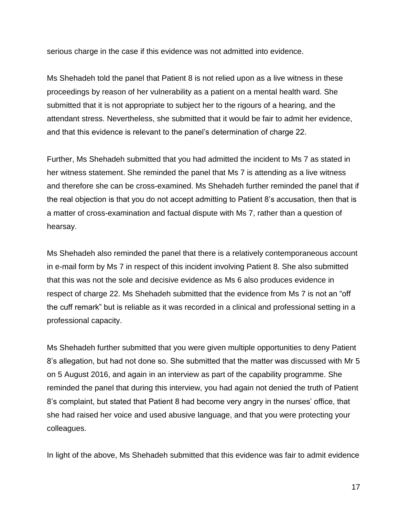serious charge in the case if this evidence was not admitted into evidence.

Ms Shehadeh told the panel that Patient 8 is not relied upon as a live witness in these proceedings by reason of her vulnerability as a patient on a mental health ward. She submitted that it is not appropriate to subject her to the rigours of a hearing, and the attendant stress. Nevertheless, she submitted that it would be fair to admit her evidence, and that this evidence is relevant to the panel's determination of charge 22.

Further, Ms Shehadeh submitted that you had admitted the incident to Ms 7 as stated in her witness statement. She reminded the panel that Ms 7 is attending as a live witness and therefore she can be cross-examined. Ms Shehadeh further reminded the panel that if the real objection is that you do not accept admitting to Patient 8's accusation, then that is a matter of cross-examination and factual dispute with Ms 7, rather than a question of hearsay.

Ms Shehadeh also reminded the panel that there is a relatively contemporaneous account in e-mail form by Ms 7 in respect of this incident involving Patient 8. She also submitted that this was not the sole and decisive evidence as Ms 6 also produces evidence in respect of charge 22. Ms Shehadeh submitted that the evidence from Ms 7 is not an "off the cuff remark" but is reliable as it was recorded in a clinical and professional setting in a professional capacity.

Ms Shehadeh further submitted that you were given multiple opportunities to deny Patient 8's allegation, but had not done so. She submitted that the matter was discussed with Mr 5 on 5 August 2016, and again in an interview as part of the capability programme. She reminded the panel that during this interview, you had again not denied the truth of Patient 8's complaint, but stated that Patient 8 had become very angry in the nurses' office, that she had raised her voice and used abusive language, and that you were protecting your colleagues.

In light of the above, Ms Shehadeh submitted that this evidence was fair to admit evidence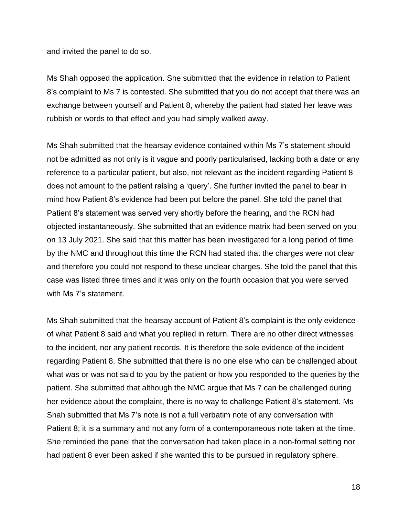and invited the panel to do so.

Ms Shah opposed the application. She submitted that the evidence in relation to Patient 8's complaint to Ms 7 is contested. She submitted that you do not accept that there was an exchange between yourself and Patient 8, whereby the patient had stated her leave was rubbish or words to that effect and you had simply walked away.

Ms Shah submitted that the hearsay evidence contained within Ms 7's statement should not be admitted as not only is it vague and poorly particularised, lacking both a date or any reference to a particular patient, but also, not relevant as the incident regarding Patient 8 does not amount to the patient raising a 'query'. She further invited the panel to bear in mind how Patient 8's evidence had been put before the panel. She told the panel that Patient 8's statement was served very shortly before the hearing, and the RCN had objected instantaneously. She submitted that an evidence matrix had been served on you on 13 July 2021. She said that this matter has been investigated for a long period of time by the NMC and throughout this time the RCN had stated that the charges were not clear and therefore you could not respond to these unclear charges. She told the panel that this case was listed three times and it was only on the fourth occasion that you were served with Ms 7's statement.

Ms Shah submitted that the hearsay account of Patient 8's complaint is the only evidence of what Patient 8 said and what you replied in return. There are no other direct witnesses to the incident, nor any patient records. It is therefore the sole evidence of the incident regarding Patient 8. She submitted that there is no one else who can be challenged about what was or was not said to you by the patient or how you responded to the queries by the patient. She submitted that although the NMC argue that Ms 7 can be challenged during her evidence about the complaint, there is no way to challenge Patient 8's statement. Ms Shah submitted that Ms 7's note is not a full verbatim note of any conversation with Patient 8; it is a summary and not any form of a contemporaneous note taken at the time. She reminded the panel that the conversation had taken place in a non-formal setting nor had patient 8 ever been asked if she wanted this to be pursued in regulatory sphere.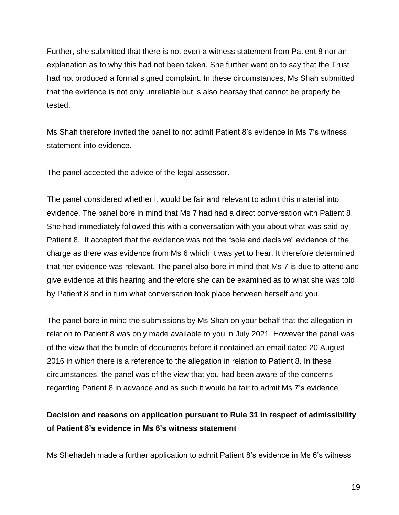Further, she submitted that there is not even a witness statement from Patient 8 nor an explanation as to why this had not been taken. She further went on to say that the Trust had not produced a formal signed complaint. In these circumstances, Ms Shah submitted that the evidence is not only unreliable but is also hearsay that cannot be properly be tested.

Ms Shah therefore invited the panel to not admit Patient 8's evidence in Ms 7's witness statement into evidence.

The panel accepted the advice of the legal assessor.

The panel considered whether it would be fair and relevant to admit this material into evidence. The panel bore in mind that Ms 7 had had a direct conversation with Patient 8. She had immediately followed this with a conversation with you about what was said by Patient 8. It accepted that the evidence was not the "sole and decisive" evidence of the charge as there was evidence from Ms 6 which it was yet to hear. It therefore determined that her evidence was relevant. The panel also bore in mind that Ms 7 is due to attend and give evidence at this hearing and therefore she can be examined as to what she was told by Patient 8 and in turn what conversation took place between herself and you.

The panel bore in mind the submissions by Ms Shah on your behalf that the allegation in relation to Patient 8 was only made available to you in July 2021. However the panel was of the view that the bundle of documents before it contained an email dated 20 August 2016 in which there is a reference to the allegation in relation to Patient 8. In these circumstances, the panel was of the view that you had been aware of the concerns regarding Patient 8 in advance and as such it would be fair to admit Ms 7's evidence.

# **Decision and reasons on application pursuant to Rule 31 in respect of admissibility of Patient 8's evidence in Ms 6's witness statement**

Ms Shehadeh made a further application to admit Patient 8's evidence in Ms 6's witness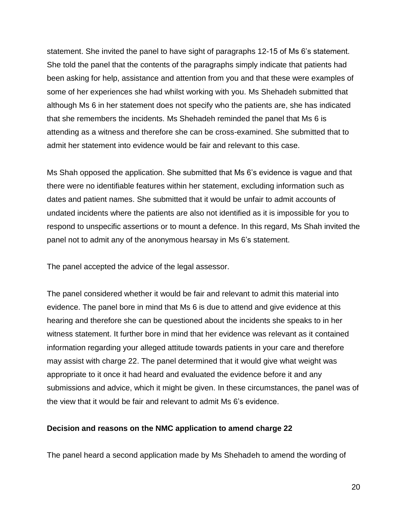statement. She invited the panel to have sight of paragraphs 12-15 of Ms 6's statement. She told the panel that the contents of the paragraphs simply indicate that patients had been asking for help, assistance and attention from you and that these were examples of some of her experiences she had whilst working with you. Ms Shehadeh submitted that although Ms 6 in her statement does not specify who the patients are, she has indicated that she remembers the incidents. Ms Shehadeh reminded the panel that Ms 6 is attending as a witness and therefore she can be cross-examined. She submitted that to admit her statement into evidence would be fair and relevant to this case.

Ms Shah opposed the application. She submitted that Ms 6's evidence is vague and that there were no identifiable features within her statement, excluding information such as dates and patient names. She submitted that it would be unfair to admit accounts of undated incidents where the patients are also not identified as it is impossible for you to respond to unspecific assertions or to mount a defence. In this regard, Ms Shah invited the panel not to admit any of the anonymous hearsay in Ms 6's statement.

The panel accepted the advice of the legal assessor.

The panel considered whether it would be fair and relevant to admit this material into evidence. The panel bore in mind that Ms 6 is due to attend and give evidence at this hearing and therefore she can be questioned about the incidents she speaks to in her witness statement. It further bore in mind that her evidence was relevant as it contained information regarding your alleged attitude towards patients in your care and therefore may assist with charge 22. The panel determined that it would give what weight was appropriate to it once it had heard and evaluated the evidence before it and any submissions and advice, which it might be given. In these circumstances, the panel was of the view that it would be fair and relevant to admit Ms 6's evidence.

### **Decision and reasons on the NMC application to amend charge 22**

The panel heard a second application made by Ms Shehadeh to amend the wording of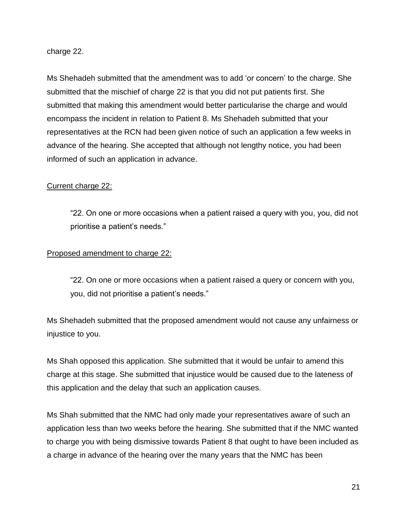charge 22.

Ms Shehadeh submitted that the amendment was to add 'or concern' to the charge. She submitted that the mischief of charge 22 is that you did not put patients first. She submitted that making this amendment would better particularise the charge and would encompass the incident in relation to Patient 8. Ms Shehadeh submitted that your representatives at the RCN had been given notice of such an application a few weeks in advance of the hearing. She accepted that although not lengthy notice, you had been informed of such an application in advance.

### Current charge 22:

"22. On one or more occasions when a patient raised a query with you, you, did not prioritise a patient's needs."

#### Proposed amendment to charge 22:

"22. On one or more occasions when a patient raised a query or concern with you, you, did not prioritise a patient's needs."

Ms Shehadeh submitted that the proposed amendment would not cause any unfairness or injustice to you.

Ms Shah opposed this application. She submitted that it would be unfair to amend this charge at this stage. She submitted that injustice would be caused due to the lateness of this application and the delay that such an application causes.

Ms Shah submitted that the NMC had only made your representatives aware of such an application less than two weeks before the hearing. She submitted that if the NMC wanted to charge you with being dismissive towards Patient 8 that ought to have been included as a charge in advance of the hearing over the many years that the NMC has been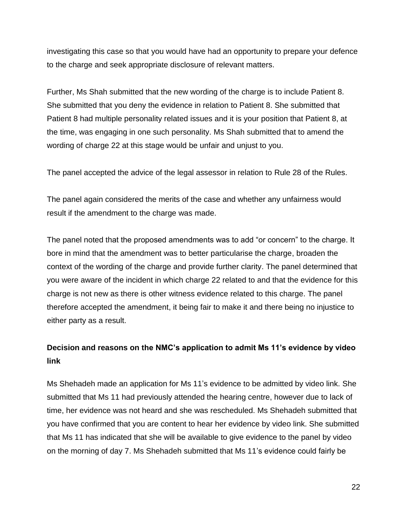investigating this case so that you would have had an opportunity to prepare your defence to the charge and seek appropriate disclosure of relevant matters.

Further, Ms Shah submitted that the new wording of the charge is to include Patient 8. She submitted that you deny the evidence in relation to Patient 8. She submitted that Patient 8 had multiple personality related issues and it is your position that Patient 8, at the time, was engaging in one such personality. Ms Shah submitted that to amend the wording of charge 22 at this stage would be unfair and unjust to you.

The panel accepted the advice of the legal assessor in relation to Rule 28 of the Rules.

The panel again considered the merits of the case and whether any unfairness would result if the amendment to the charge was made.

The panel noted that the proposed amendments was to add "or concern" to the charge. It bore in mind that the amendment was to better particularise the charge, broaden the context of the wording of the charge and provide further clarity. The panel determined that you were aware of the incident in which charge 22 related to and that the evidence for this charge is not new as there is other witness evidence related to this charge. The panel therefore accepted the amendment, it being fair to make it and there being no injustice to either party as a result.

# **Decision and reasons on the NMC's application to admit Ms 11's evidence by video link**

Ms Shehadeh made an application for Ms 11's evidence to be admitted by video link. She submitted that Ms 11 had previously attended the hearing centre, however due to lack of time, her evidence was not heard and she was rescheduled. Ms Shehadeh submitted that you have confirmed that you are content to hear her evidence by video link. She submitted that Ms 11 has indicated that she will be available to give evidence to the panel by video on the morning of day 7. Ms Shehadeh submitted that Ms 11's evidence could fairly be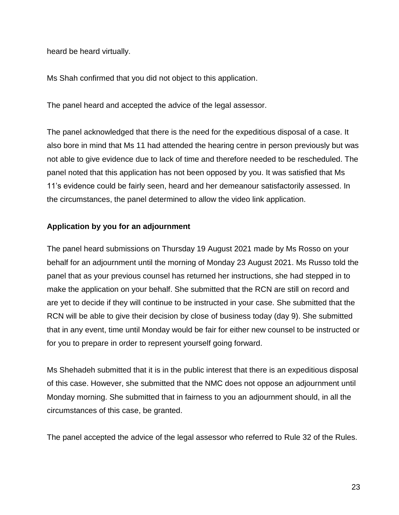heard be heard virtually.

Ms Shah confirmed that you did not object to this application.

The panel heard and accepted the advice of the legal assessor.

The panel acknowledged that there is the need for the expeditious disposal of a case. It also bore in mind that Ms 11 had attended the hearing centre in person previously but was not able to give evidence due to lack of time and therefore needed to be rescheduled. The panel noted that this application has not been opposed by you. It was satisfied that Ms 11's evidence could be fairly seen, heard and her demeanour satisfactorily assessed. In the circumstances, the panel determined to allow the video link application.

## **Application by you for an adjournment**

The panel heard submissions on Thursday 19 August 2021 made by Ms Rosso on your behalf for an adjournment until the morning of Monday 23 August 2021. Ms Russo told the panel that as your previous counsel has returned her instructions, she had stepped in to make the application on your behalf. She submitted that the RCN are still on record and are yet to decide if they will continue to be instructed in your case. She submitted that the RCN will be able to give their decision by close of business today (day 9). She submitted that in any event, time until Monday would be fair for either new counsel to be instructed or for you to prepare in order to represent yourself going forward.

Ms Shehadeh submitted that it is in the public interest that there is an expeditious disposal of this case. However, she submitted that the NMC does not oppose an adjournment until Monday morning. She submitted that in fairness to you an adjournment should, in all the circumstances of this case, be granted.

The panel accepted the advice of the legal assessor who referred to Rule 32 of the Rules.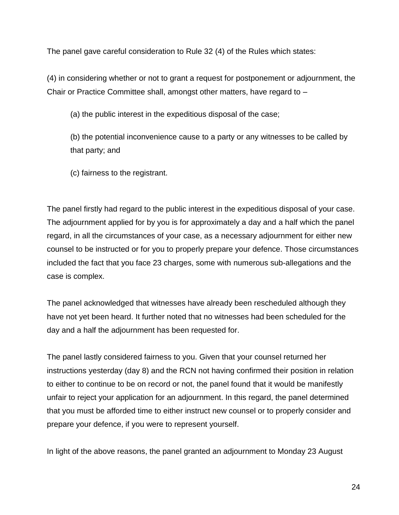The panel gave careful consideration to Rule 32 (4) of the Rules which states:

(4) in considering whether or not to grant a request for postponement or adjournment, the Chair or Practice Committee shall, amongst other matters, have regard to –

(a) the public interest in the expeditious disposal of the case;

(b) the potential inconvenience cause to a party or any witnesses to be called by that party; and

(c) fairness to the registrant.

The panel firstly had regard to the public interest in the expeditious disposal of your case. The adjournment applied for by you is for approximately a day and a half which the panel regard, in all the circumstances of your case, as a necessary adjournment for either new counsel to be instructed or for you to properly prepare your defence. Those circumstances included the fact that you face 23 charges, some with numerous sub-allegations and the case is complex.

The panel acknowledged that witnesses have already been rescheduled although they have not yet been heard. It further noted that no witnesses had been scheduled for the day and a half the adjournment has been requested for.

The panel lastly considered fairness to you. Given that your counsel returned her instructions yesterday (day 8) and the RCN not having confirmed their position in relation to either to continue to be on record or not, the panel found that it would be manifestly unfair to reject your application for an adjournment. In this regard, the panel determined that you must be afforded time to either instruct new counsel or to properly consider and prepare your defence, if you were to represent yourself.

In light of the above reasons, the panel granted an adjournment to Monday 23 August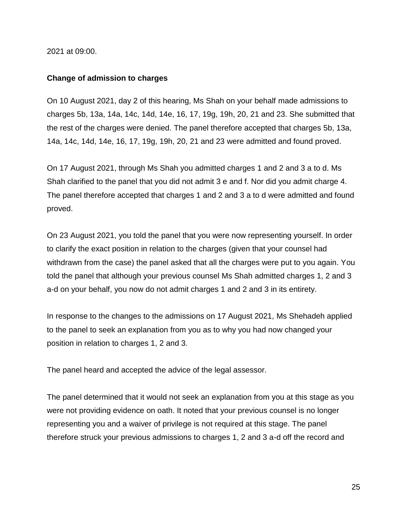2021 at 09:00.

#### **Change of admission to charges**

On 10 August 2021, day 2 of this hearing, Ms Shah on your behalf made admissions to charges 5b, 13a, 14a, 14c, 14d, 14e, 16, 17, 19g, 19h, 20, 21 and 23. She submitted that the rest of the charges were denied. The panel therefore accepted that charges 5b, 13a, 14a, 14c, 14d, 14e, 16, 17, 19g, 19h, 20, 21 and 23 were admitted and found proved.

On 17 August 2021, through Ms Shah you admitted charges 1 and 2 and 3 a to d. Ms Shah clarified to the panel that you did not admit 3 e and f. Nor did you admit charge 4. The panel therefore accepted that charges 1 and 2 and 3 a to d were admitted and found proved.

On 23 August 2021, you told the panel that you were now representing yourself. In order to clarify the exact position in relation to the charges (given that your counsel had withdrawn from the case) the panel asked that all the charges were put to you again. You told the panel that although your previous counsel Ms Shah admitted charges 1, 2 and 3 a-d on your behalf, you now do not admit charges 1 and 2 and 3 in its entirety.

In response to the changes to the admissions on 17 August 2021, Ms Shehadeh applied to the panel to seek an explanation from you as to why you had now changed your position in relation to charges 1, 2 and 3.

The panel heard and accepted the advice of the legal assessor.

The panel determined that it would not seek an explanation from you at this stage as you were not providing evidence on oath. It noted that your previous counsel is no longer representing you and a waiver of privilege is not required at this stage. The panel therefore struck your previous admissions to charges 1, 2 and 3 a-d off the record and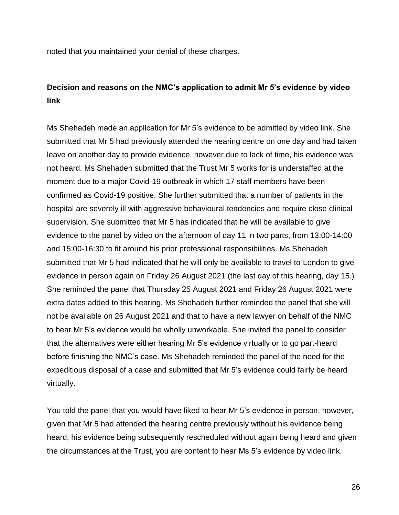noted that you maintained your denial of these charges.

## **Decision and reasons on the NMC's application to admit Mr 5's evidence by video link**

Ms Shehadeh made an application for Mr 5's evidence to be admitted by video link. She submitted that Mr 5 had previously attended the hearing centre on one day and had taken leave on another day to provide evidence, however due to lack of time, his evidence was not heard. Ms Shehadeh submitted that the Trust Mr 5 works for is understaffed at the moment due to a major Covid-19 outbreak in which 17 staff members have been confirmed as Covid-19 positive. She further submitted that a number of patients in the hospital are severely ill with aggressive behavioural tendencies and require close clinical supervision. She submitted that Mr 5 has indicated that he will be available to give evidence to the panel by video on the afternoon of day 11 in two parts, from 13:00-14:00 and 15:00-16:30 to fit around his prior professional responsibilities. Ms Shehadeh submitted that Mr 5 had indicated that he will only be available to travel to London to give evidence in person again on Friday 26 August 2021 (the last day of this hearing, day 15.) She reminded the panel that Thursday 25 August 2021 and Friday 26 August 2021 were extra dates added to this hearing. Ms Shehadeh further reminded the panel that she will not be available on 26 August 2021 and that to have a new lawyer on behalf of the NMC to hear Mr 5's evidence would be wholly unworkable. She invited the panel to consider that the alternatives were either hearing Mr 5's evidence virtually or to go part-heard before finishing the NMC's case. Ms Shehadeh reminded the panel of the need for the expeditious disposal of a case and submitted that Mr 5's evidence could fairly be heard virtually.

You told the panel that you would have liked to hear Mr 5's evidence in person, however, given that Mr 5 had attended the hearing centre previously without his evidence being heard, his evidence being subsequently rescheduled without again being heard and given the circumstances at the Trust, you are content to hear Ms 5's evidence by video link.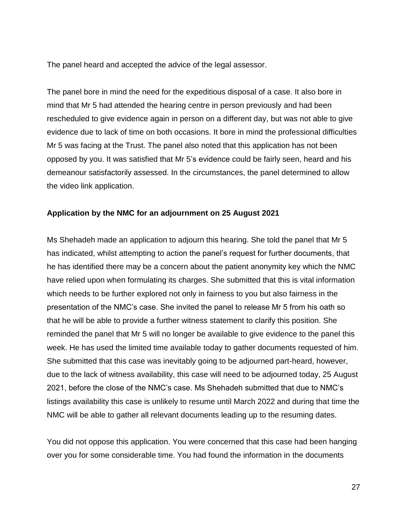The panel heard and accepted the advice of the legal assessor.

The panel bore in mind the need for the expeditious disposal of a case. It also bore in mind that Mr 5 had attended the hearing centre in person previously and had been rescheduled to give evidence again in person on a different day, but was not able to give evidence due to lack of time on both occasions. It bore in mind the professional difficulties Mr 5 was facing at the Trust. The panel also noted that this application has not been opposed by you. It was satisfied that Mr 5's evidence could be fairly seen, heard and his demeanour satisfactorily assessed. In the circumstances, the panel determined to allow the video link application.

#### **Application by the NMC for an adjournment on 25 August 2021**

Ms Shehadeh made an application to adjourn this hearing. She told the panel that Mr 5 has indicated, whilst attempting to action the panel's request for further documents, that he has identified there may be a concern about the patient anonymity key which the NMC have relied upon when formulating its charges. She submitted that this is vital information which needs to be further explored not only in fairness to you but also fairness in the presentation of the NMC's case. She invited the panel to release Mr 5 from his oath so that he will be able to provide a further witness statement to clarify this position. She reminded the panel that Mr 5 will no longer be available to give evidence to the panel this week. He has used the limited time available today to gather documents requested of him. She submitted that this case was inevitably going to be adjourned part-heard, however, due to the lack of witness availability, this case will need to be adjourned today, 25 August 2021, before the close of the NMC's case. Ms Shehadeh submitted that due to NMC's listings availability this case is unlikely to resume until March 2022 and during that time the NMC will be able to gather all relevant documents leading up to the resuming dates.

You did not oppose this application. You were concerned that this case had been hanging over you for some considerable time. You had found the information in the documents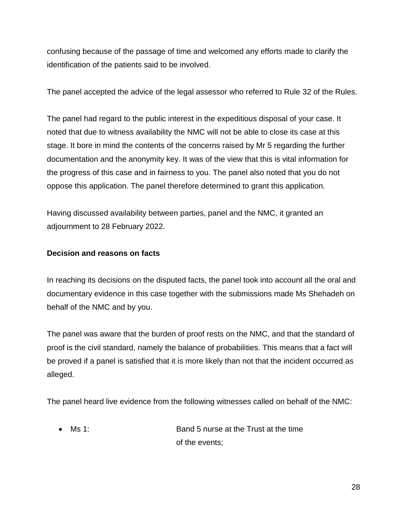confusing because of the passage of time and welcomed any efforts made to clarify the identification of the patients said to be involved.

The panel accepted the advice of the legal assessor who referred to Rule 32 of the Rules.

The panel had regard to the public interest in the expeditious disposal of your case. It noted that due to witness availability the NMC will not be able to close its case at this stage. It bore in mind the contents of the concerns raised by Mr 5 regarding the further documentation and the anonymity key. It was of the view that this is vital information for the progress of this case and in fairness to you. The panel also noted that you do not oppose this application. The panel therefore determined to grant this application.

Having discussed availability between parties, panel and the NMC, it granted an adjournment to 28 February 2022.

## **Decision and reasons on facts**

In reaching its decisions on the disputed facts, the panel took into account all the oral and documentary evidence in this case together with the submissions made Ms Shehadeh on behalf of the NMC and by you.

The panel was aware that the burden of proof rests on the NMC, and that the standard of proof is the civil standard, namely the balance of probabilities. This means that a fact will be proved if a panel is satisfied that it is more likely than not that the incident occurred as alleged.

The panel heard live evidence from the following witnesses called on behalf of the NMC:

 Ms 1: Band 5 nurse at the Trust at the time of the events;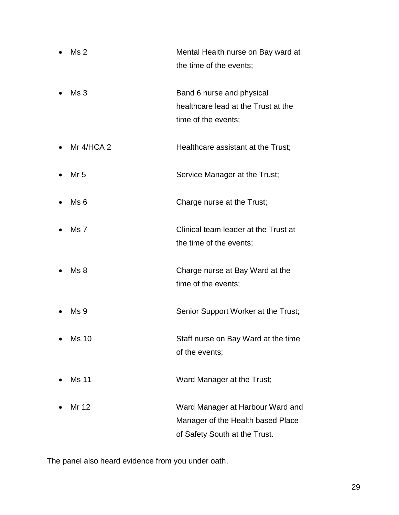- Ms 2 Mental Health nurse on Bay ward at the time of the events;
- Ms 3 Band 6 nurse and physical healthcare lead at the Trust at the time of the events;
- Mr 4/HCA 2 Healthcare assistant at the Trust;
- Mr 5 Service Manager at the Trust;
- Ms 6 Charge nurse at the Trust;
- Ms 7 Clinical team leader at the Trust at the time of the events;
- Ms 8 Charge nurse at Bay Ward at the time of the events;
- Ms 9 Senior Support Worker at the Trust;
- Ms 10 Staff nurse on Bay Ward at the time of the events;
- Ms 11 Ward Manager at the Trust;
- Mr 12 Ward Manager at Harbour Ward and Manager of the Health based Place of Safety South at the Trust.

The panel also heard evidence from you under oath.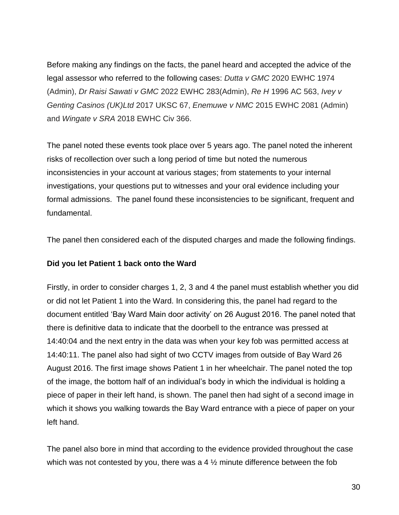Before making any findings on the facts, the panel heard and accepted the advice of the legal assessor who referred to the following cases: *Dutta v GMC* 2020 EWHC 1974 (Admin), *Dr Raisi Sawati v GMC* 2022 EWHC 283(Admin), *Re H* 1996 AC 563, *Ivey v Genting Casinos (UK)Ltd* 2017 UKSC 67, *Enemuwe v NMC* 2015 EWHC 2081 (Admin) and *Wingate v SRA* 2018 EWHC Civ 366.

The panel noted these events took place over 5 years ago. The panel noted the inherent risks of recollection over such a long period of time but noted the numerous inconsistencies in your account at various stages; from statements to your internal investigations, your questions put to witnesses and your oral evidence including your formal admissions. The panel found these inconsistencies to be significant, frequent and fundamental.

The panel then considered each of the disputed charges and made the following findings.

#### **Did you let Patient 1 back onto the Ward**

Firstly, in order to consider charges 1, 2, 3 and 4 the panel must establish whether you did or did not let Patient 1 into the Ward. In considering this, the panel had regard to the document entitled 'Bay Ward Main door activity' on 26 August 2016. The panel noted that there is definitive data to indicate that the doorbell to the entrance was pressed at 14:40:04 and the next entry in the data was when your key fob was permitted access at 14:40:11. The panel also had sight of two CCTV images from outside of Bay Ward 26 August 2016. The first image shows Patient 1 in her wheelchair. The panel noted the top of the image, the bottom half of an individual's body in which the individual is holding a piece of paper in their left hand, is shown. The panel then had sight of a second image in which it shows you walking towards the Bay Ward entrance with a piece of paper on your left hand.

The panel also bore in mind that according to the evidence provided throughout the case which was not contested by you, there was a 4  $\frac{1}{2}$  minute difference between the fob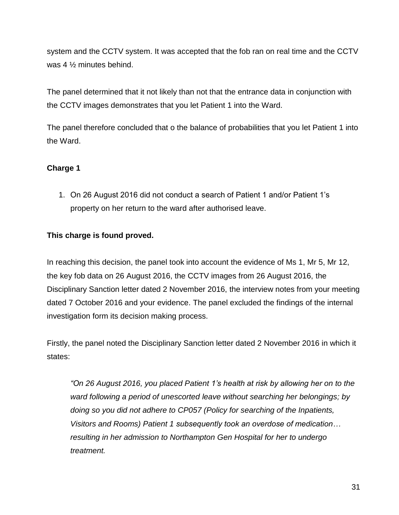system and the CCTV system. It was accepted that the fob ran on real time and the CCTV was 4 ½ minutes behind.

The panel determined that it not likely than not that the entrance data in conjunction with the CCTV images demonstrates that you let Patient 1 into the Ward.

The panel therefore concluded that o the balance of probabilities that you let Patient 1 into the Ward.

## **Charge 1**

1. On 26 August 2016 did not conduct a search of Patient 1 and/or Patient 1's property on her return to the ward after authorised leave.

## **This charge is found proved.**

In reaching this decision, the panel took into account the evidence of Ms 1, Mr 5, Mr 12, the key fob data on 26 August 2016, the CCTV images from 26 August 2016, the Disciplinary Sanction letter dated 2 November 2016, the interview notes from your meeting dated 7 October 2016 and your evidence. The panel excluded the findings of the internal investigation form its decision making process.

Firstly, the panel noted the Disciplinary Sanction letter dated 2 November 2016 in which it states:

*"On 26 August 2016, you placed Patient 1's health at risk by allowing her on to the ward following a period of unescorted leave without searching her belongings; by doing so you did not adhere to CP057 (Policy for searching of the Inpatients, Visitors and Rooms) Patient 1 subsequently took an overdose of medication… resulting in her admission to Northampton Gen Hospital for her to undergo treatment.*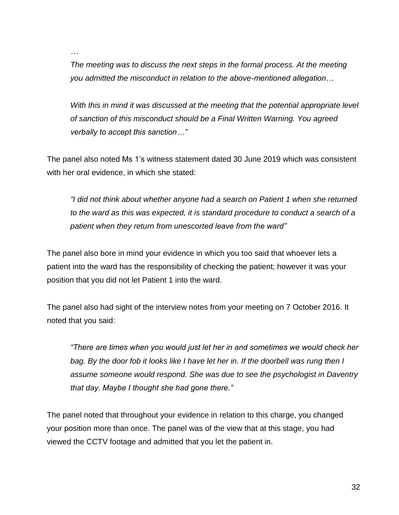*…*

*The meeting was to discuss the next steps in the formal process. At the meeting you admitted the misconduct in relation to the above-mentioned allegation…* 

*With this in mind it was discussed at the meeting that the potential appropriate level of sanction of this misconduct should be a Final Written Warning. You agreed verbally to accept this sanction…"*

The panel also noted Ms 1's witness statement dated 30 June 2019 which was consistent with her oral evidence, in which she stated:

*"I did not think about whether anyone had a search on Patient 1 when she returned to the ward as this was expected, it is standard procedure to conduct a search of a patient when they return from unescorted leave from the ward"*

The panel also bore in mind your evidence in which you too said that whoever lets a patient into the ward has the responsibility of checking the patient; however it was your position that you did not let Patient 1 into the ward.

The panel also had sight of the interview notes from your meeting on 7 October 2016. It noted that you said:

*"There are times when you would just let her in and sometimes we would check her bag. By the door fob it looks like I have let her in. If the doorbell was rung then I assume someone would respond. She was due to see the psychologist in Daventry that day. Maybe I thought she had gone there."*

The panel noted that throughout your evidence in relation to this charge, you changed your position more than once. The panel was of the view that at this stage, you had viewed the CCTV footage and admitted that you let the patient in.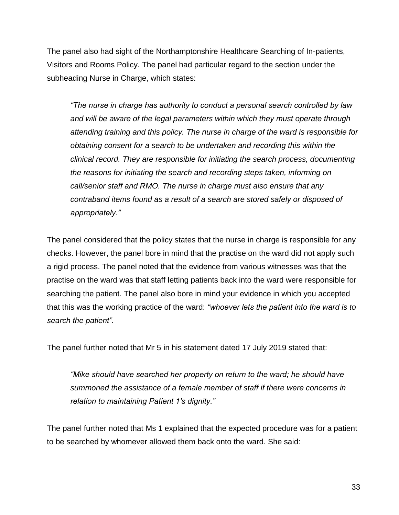The panel also had sight of the Northamptonshire Healthcare Searching of In-patients, Visitors and Rooms Policy. The panel had particular regard to the section under the subheading Nurse in Charge, which states:

*"The nurse in charge has authority to conduct a personal search controlled by law and will be aware of the legal parameters within which they must operate through attending training and this policy. The nurse in charge of the ward is responsible for obtaining consent for a search to be undertaken and recording this within the clinical record. They are responsible for initiating the search process, documenting the reasons for initiating the search and recording steps taken, informing on call/senior staff and RMO. The nurse in charge must also ensure that any contraband items found as a result of a search are stored safely or disposed of appropriately."*

The panel considered that the policy states that the nurse in charge is responsible for any checks. However, the panel bore in mind that the practise on the ward did not apply such a rigid process. The panel noted that the evidence from various witnesses was that the practise on the ward was that staff letting patients back into the ward were responsible for searching the patient. The panel also bore in mind your evidence in which you accepted that this was the working practice of the ward: *"whoever lets the patient into the ward is to search the patient".*

The panel further noted that Mr 5 in his statement dated 17 July 2019 stated that:

*"Mike should have searched her property on return to the ward; he should have summoned the assistance of a female member of staff if there were concerns in relation to maintaining Patient 1's dignity."*

The panel further noted that Ms 1 explained that the expected procedure was for a patient to be searched by whomever allowed them back onto the ward. She said: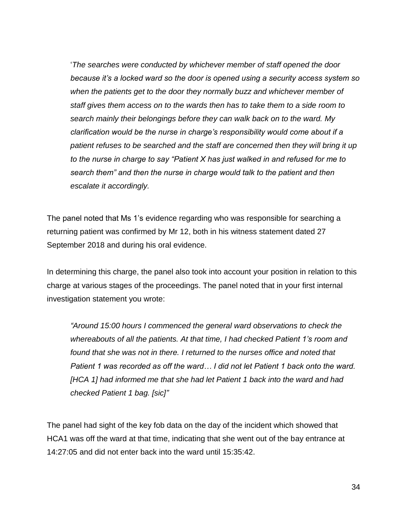'*The searches were conducted by whichever member of staff opened the door because it's a locked ward so the door is opened using a security access system so when the patients get to the door they normally buzz and whichever member of staff gives them access on to the wards then has to take them to a side room to search mainly their belongings before they can walk back on to the ward. My clarification would be the nurse in charge's responsibility would come about if a patient refuses to be searched and the staff are concerned then they will bring it up to the nurse in charge to say "Patient X has just walked in and refused for me to search them" and then the nurse in charge would talk to the patient and then escalate it accordingly.*

The panel noted that Ms 1's evidence regarding who was responsible for searching a returning patient was confirmed by Mr 12, both in his witness statement dated 27 September 2018 and during his oral evidence.

In determining this charge, the panel also took into account your position in relation to this charge at various stages of the proceedings. The panel noted that in your first internal investigation statement you wrote:

*"Around 15:00 hours I commenced the general ward observations to check the whereabouts of all the patients. At that time, I had checked Patient 1's room and found that she was not in there. I returned to the nurses office and noted that Patient 1 was recorded as off the ward… I did not let Patient 1 back onto the ward. [HCA 1] had informed me that she had let Patient 1 back into the ward and had checked Patient 1 bag. [sic]"*

The panel had sight of the key fob data on the day of the incident which showed that HCA1 was off the ward at that time, indicating that she went out of the bay entrance at 14:27:05 and did not enter back into the ward until 15:35:42.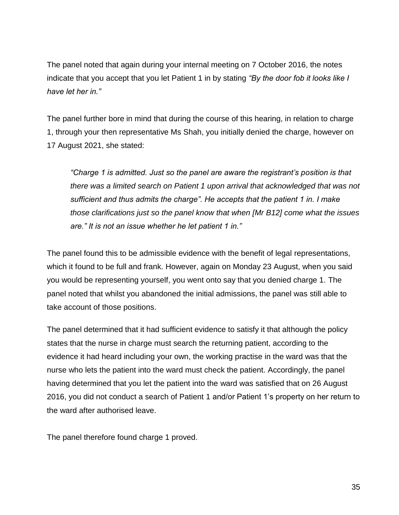The panel noted that again during your internal meeting on 7 October 2016, the notes indicate that you accept that you let Patient 1 in by stating *"By the door fob it looks like I have let her in."*

The panel further bore in mind that during the course of this hearing, in relation to charge 1, through your then representative Ms Shah, you initially denied the charge, however on 17 August 2021, she stated:

*"Charge 1 is admitted. Just so the panel are aware the registrant's position is that there was a limited search on Patient 1 upon arrival that acknowledged that was not sufficient and thus admits the charge". He accepts that the patient 1 in. I make those clarifications just so the panel know that when [Mr B12] come what the issues are." It is not an issue whether he let patient 1 in."*

The panel found this to be admissible evidence with the benefit of legal representations, which it found to be full and frank. However, again on Monday 23 August, when you said you would be representing yourself, you went onto say that you denied charge 1. The panel noted that whilst you abandoned the initial admissions, the panel was still able to take account of those positions.

The panel determined that it had sufficient evidence to satisfy it that although the policy states that the nurse in charge must search the returning patient, according to the evidence it had heard including your own, the working practise in the ward was that the nurse who lets the patient into the ward must check the patient. Accordingly, the panel having determined that you let the patient into the ward was satisfied that on 26 August 2016, you did not conduct a search of Patient 1 and/or Patient 1's property on her return to the ward after authorised leave.

The panel therefore found charge 1 proved.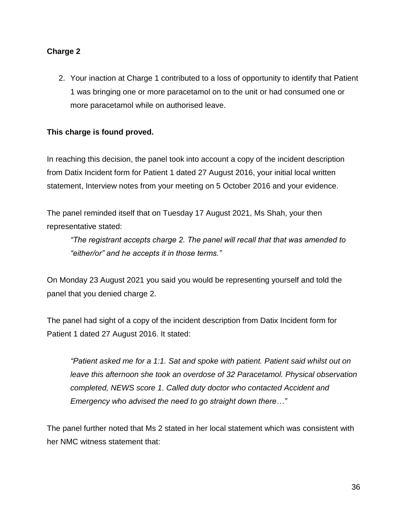## **Charge 2**

2. Your inaction at Charge 1 contributed to a loss of opportunity to identify that Patient 1 was bringing one or more paracetamol on to the unit or had consumed one or more paracetamol while on authorised leave.

## **This charge is found proved.**

In reaching this decision, the panel took into account a copy of the incident description from Datix Incident form for Patient 1 dated 27 August 2016, your initial local written statement, Interview notes from your meeting on 5 October 2016 and your evidence.

The panel reminded itself that on Tuesday 17 August 2021, Ms Shah, your then representative stated:

*"The registrant accepts charge 2. The panel will recall that that was amended to "either/or" and he accepts it in those terms."*

On Monday 23 August 2021 you said you would be representing yourself and told the panel that you denied charge 2.

The panel had sight of a copy of the incident description from Datix Incident form for Patient 1 dated 27 August 2016. It stated:

*"Patient asked me for a 1:1. Sat and spoke with patient. Patient said whilst out on leave this afternoon she took an overdose of 32 Paracetamol. Physical observation completed, NEWS score 1. Called duty doctor who contacted Accident and Emergency who advised the need to go straight down there…"*

The panel further noted that Ms 2 stated in her local statement which was consistent with her NMC witness statement that: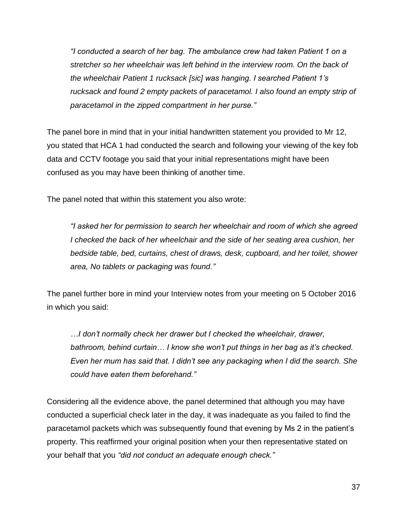*"I conducted a search of her bag. The ambulance crew had taken Patient 1 on a stretcher so her wheelchair was left behind in the interview room. On the back of the wheelchair Patient 1 rucksack [sic] was hanging. I searched Patient 1's rucksack and found 2 empty packets of paracetamol. I also found an empty strip of paracetamol in the zipped compartment in her purse."*

The panel bore in mind that in your initial handwritten statement you provided to Mr 12, you stated that HCA 1 had conducted the search and following your viewing of the key fob data and CCTV footage you said that your initial representations might have been confused as you may have been thinking of another time.

The panel noted that within this statement you also wrote:

*"I asked her for permission to search her wheelchair and room of which she agreed I checked the back of her wheelchair and the side of her seating area cushion, her bedside table, bed, curtains, chest of draws, desk, cupboard, and her toilet, shower area, No tablets or packaging was found."*

The panel further bore in mind your Interview notes from your meeting on 5 October 2016 in which you said:

*…I don't normally check her drawer but I checked the wheelchair, drawer, bathroom, behind curtain… I know she won't put things in her bag as it's checked. Even her mum has said that. I didn't see any packaging when I did the search. She could have eaten them beforehand."*

Considering all the evidence above, the panel determined that although you may have conducted a superficial check later in the day, it was inadequate as you failed to find the paracetamol packets which was subsequently found that evening by Ms 2 in the patient's property. This reaffirmed your original position when your then representative stated on your behalf that you *"did not conduct an adequate enough check."*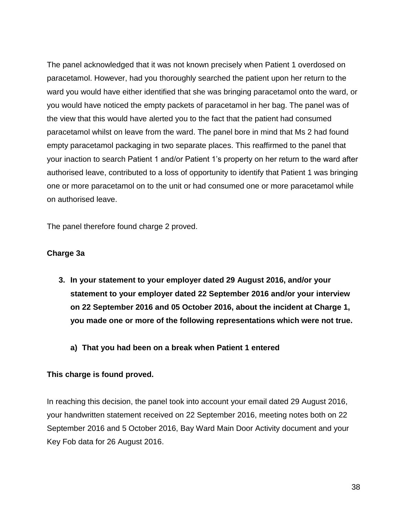The panel acknowledged that it was not known precisely when Patient 1 overdosed on paracetamol. However, had you thoroughly searched the patient upon her return to the ward you would have either identified that she was bringing paracetamol onto the ward, or you would have noticed the empty packets of paracetamol in her bag. The panel was of the view that this would have alerted you to the fact that the patient had consumed paracetamol whilst on leave from the ward. The panel bore in mind that Ms 2 had found empty paracetamol packaging in two separate places. This reaffirmed to the panel that your inaction to search Patient 1 and/or Patient 1's property on her return to the ward after authorised leave, contributed to a loss of opportunity to identify that Patient 1 was bringing one or more paracetamol on to the unit or had consumed one or more paracetamol while on authorised leave.

The panel therefore found charge 2 proved.

#### **Charge 3a**

- **3. In your statement to your employer dated 29 August 2016, and/or your statement to your employer dated 22 September 2016 and/or your interview on 22 September 2016 and 05 October 2016, about the incident at Charge 1, you made one or more of the following representations which were not true.**
	- **a) That you had been on a break when Patient 1 entered**

#### **This charge is found proved.**

In reaching this decision, the panel took into account your email dated 29 August 2016, your handwritten statement received on 22 September 2016, meeting notes both on 22 September 2016 and 5 October 2016, Bay Ward Main Door Activity document and your Key Fob data for 26 August 2016.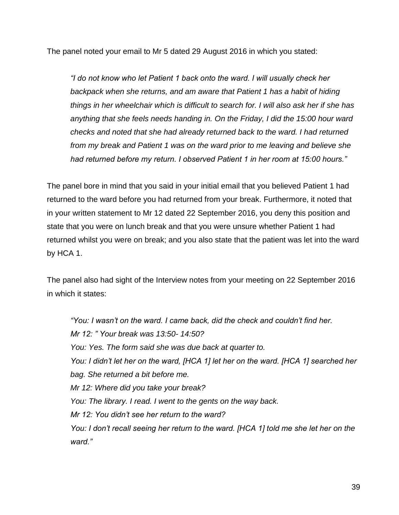The panel noted your email to Mr 5 dated 29 August 2016 in which you stated:

*"I do not know who let Patient 1 back onto the ward. I will usually check her backpack when she returns, and am aware that Patient 1 has a habit of hiding things in her wheelchair which is difficult to search for. I will also ask her if she has anything that she feels needs handing in. On the Friday, I did the 15:00 hour ward checks and noted that she had already returned back to the ward. I had returned from my break and Patient 1 was on the ward prior to me leaving and believe she had returned before my return. I observed Patient 1 in her room at 15:00 hours."*

The panel bore in mind that you said in your initial email that you believed Patient 1 had returned to the ward before you had returned from your break. Furthermore, it noted that in your written statement to Mr 12 dated 22 September 2016, you deny this position and state that you were on lunch break and that you were unsure whether Patient 1 had returned whilst you were on break; and you also state that the patient was let into the ward by HCA 1.

The panel also had sight of the Interview notes from your meeting on 22 September 2016 in which it states:

*"You: I wasn't on the ward. I came back, did the check and couldn't find her. Mr 12: " Your break was 13:50- 14:50? You: Yes. The form said she was due back at quarter to. You: I didn't let her on the ward, [HCA 1] let her on the ward. [HCA 1] searched her bag. She returned a bit before me. Mr 12: Where did you take your break? You: The library. I read. I went to the gents on the way back. Mr 12: You didn't see her return to the ward? You: I don't recall seeing her return to the ward. [HCA 1] told me she let her on the ward."*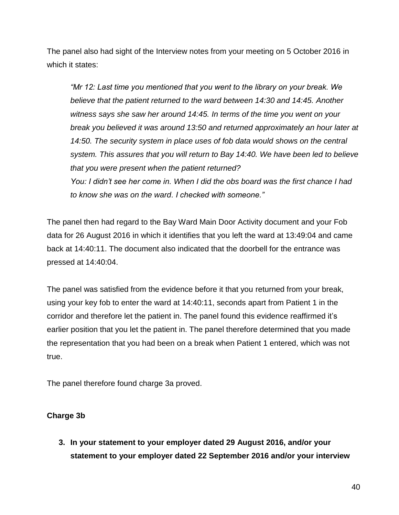The panel also had sight of the Interview notes from your meeting on 5 October 2016 in which it states:

*"Mr 12: Last time you mentioned that you went to the library on your break. We believe that the patient returned to the ward between 14:30 and 14:45. Another witness says she saw her around 14:45. In terms of the time you went on your break you believed it was around 13:50 and returned approximately an hour later at*  14:50. The security system in place uses of fob data would shows on the central *system. This assures that you will return to Bay 14:40. We have been led to believe that you were present when the patient returned? You: I didn't see her come in. When I did the obs board was the first chance I had to know she was on the ward. I checked with someone."*

The panel then had regard to the Bay Ward Main Door Activity document and your Fob data for 26 August 2016 in which it identifies that you left the ward at 13:49:04 and came back at 14:40:11. The document also indicated that the doorbell for the entrance was pressed at 14:40:04.

The panel was satisfied from the evidence before it that you returned from your break, using your key fob to enter the ward at 14:40:11, seconds apart from Patient 1 in the corridor and therefore let the patient in. The panel found this evidence reaffirmed it's earlier position that you let the patient in. The panel therefore determined that you made the representation that you had been on a break when Patient 1 entered, which was not true.

The panel therefore found charge 3a proved.

## **Charge 3b**

**3. In your statement to your employer dated 29 August 2016, and/or your statement to your employer dated 22 September 2016 and/or your interview**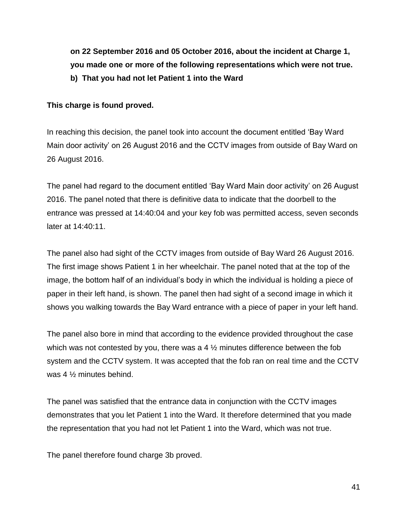**on 22 September 2016 and 05 October 2016, about the incident at Charge 1, you made one or more of the following representations which were not true. b) That you had not let Patient 1 into the Ward**

## **This charge is found proved.**

In reaching this decision, the panel took into account the document entitled 'Bay Ward Main door activity' on 26 August 2016 and the CCTV images from outside of Bay Ward on 26 August 2016.

The panel had regard to the document entitled 'Bay Ward Main door activity' on 26 August 2016. The panel noted that there is definitive data to indicate that the doorbell to the entrance was pressed at 14:40:04 and your key fob was permitted access, seven seconds later at 14:40:11.

The panel also had sight of the CCTV images from outside of Bay Ward 26 August 2016. The first image shows Patient 1 in her wheelchair. The panel noted that at the top of the image, the bottom half of an individual's body in which the individual is holding a piece of paper in their left hand, is shown. The panel then had sight of a second image in which it shows you walking towards the Bay Ward entrance with a piece of paper in your left hand.

The panel also bore in mind that according to the evidence provided throughout the case which was not contested by you, there was a  $4\frac{1}{2}$  minutes difference between the fob system and the CCTV system. It was accepted that the fob ran on real time and the CCTV was 4 ½ minutes behind.

The panel was satisfied that the entrance data in conjunction with the CCTV images demonstrates that you let Patient 1 into the Ward. It therefore determined that you made the representation that you had not let Patient 1 into the Ward, which was not true.

The panel therefore found charge 3b proved.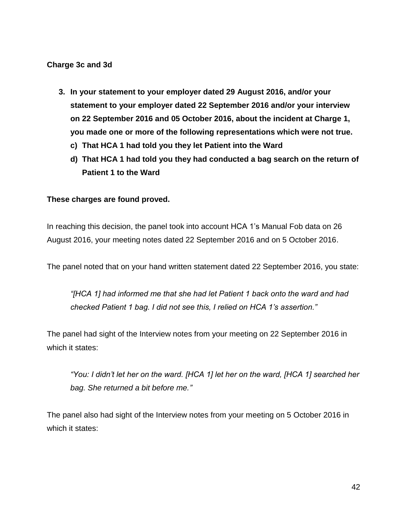#### **Charge 3c and 3d**

- **3. In your statement to your employer dated 29 August 2016, and/or your statement to your employer dated 22 September 2016 and/or your interview on 22 September 2016 and 05 October 2016, about the incident at Charge 1, you made one or more of the following representations which were not true.**
	- **c) That HCA 1 had told you they let Patient into the Ward**
	- **d) That HCA 1 had told you they had conducted a bag search on the return of Patient 1 to the Ward**

#### **These charges are found proved.**

In reaching this decision, the panel took into account HCA 1's Manual Fob data on 26 August 2016, your meeting notes dated 22 September 2016 and on 5 October 2016.

The panel noted that on your hand written statement dated 22 September 2016, you state:

*"[HCA 1] had informed me that she had let Patient 1 back onto the ward and had checked Patient 1 bag. I did not see this, I relied on HCA 1's assertion."*

The panel had sight of the Interview notes from your meeting on 22 September 2016 in which it states:

*"You: I didn't let her on the ward. [HCA 1] let her on the ward, [HCA 1] searched her bag. She returned a bit before me."*

The panel also had sight of the Interview notes from your meeting on 5 October 2016 in which it states: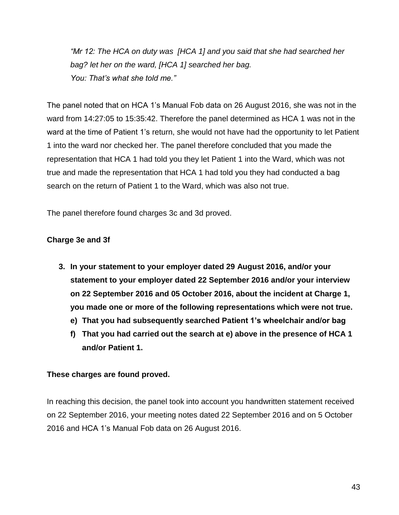*"Mr 12: The HCA on duty was [HCA 1] and you said that she had searched her bag? let her on the ward, [HCA 1] searched her bag. You: That's what she told me."*

The panel noted that on HCA 1's Manual Fob data on 26 August 2016, she was not in the ward from 14:27:05 to 15:35:42. Therefore the panel determined as HCA 1 was not in the ward at the time of Patient 1's return, she would not have had the opportunity to let Patient 1 into the ward nor checked her. The panel therefore concluded that you made the representation that HCA 1 had told you they let Patient 1 into the Ward, which was not true and made the representation that HCA 1 had told you they had conducted a bag search on the return of Patient 1 to the Ward, which was also not true.

The panel therefore found charges 3c and 3d proved.

## **Charge 3e and 3f**

- **3. In your statement to your employer dated 29 August 2016, and/or your statement to your employer dated 22 September 2016 and/or your interview on 22 September 2016 and 05 October 2016, about the incident at Charge 1, you made one or more of the following representations which were not true.**
	- **e) That you had subsequently searched Patient 1's wheelchair and/or bag**
	- **f) That you had carried out the search at e) above in the presence of HCA 1 and/or Patient 1.**

## **These charges are found proved.**

In reaching this decision, the panel took into account you handwritten statement received on 22 September 2016, your meeting notes dated 22 September 2016 and on 5 October 2016 and HCA 1's Manual Fob data on 26 August 2016.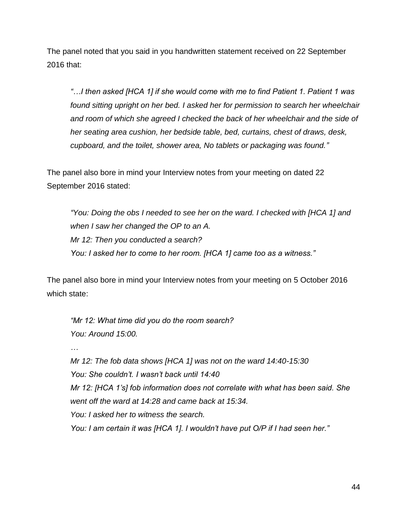The panel noted that you said in you handwritten statement received on 22 September 2016 that:

*"…I then asked [HCA 1] if she would come with me to find Patient 1. Patient 1 was found sitting upright on her bed. I asked her for permission to search her wheelchair and room of which she agreed I checked the back of her wheelchair and the side of her seating area cushion, her bedside table, bed, curtains, chest of draws, desk, cupboard, and the toilet, shower area, No tablets or packaging was found."*

The panel also bore in mind your Interview notes from your meeting on dated 22 September 2016 stated:

*"You: Doing the obs I needed to see her on the ward. I checked with [HCA 1] and when I saw her changed the OP to an A. Mr 12: Then you conducted a search? You: I asked her to come to her room. [HCA 1] came too as a witness."*

The panel also bore in mind your Interview notes from your meeting on 5 October 2016 which state:

*"Mr 12: What time did you do the room search? You: Around 15:00. … Mr 12: The fob data shows [HCA 1] was not on the ward 14:40-15:30 You: She couldn't. I wasn't back until 14:40 Mr 12: [HCA 1's] fob information does not correlate with what has been said. She went off the ward at 14:28 and came back at 15:34. You: I asked her to witness the search. You: I am certain it was [HCA 1]. I wouldn't have put O/P if I had seen her."*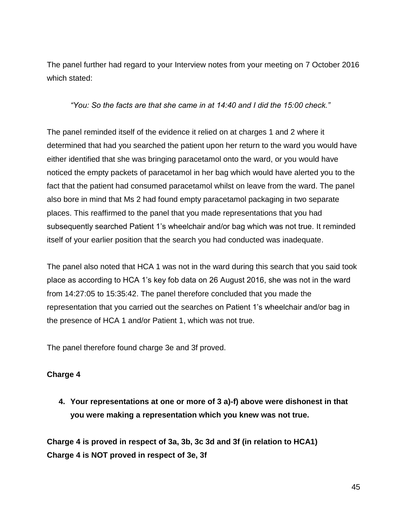The panel further had regard to your Interview notes from your meeting on 7 October 2016 which stated:

*"You: So the facts are that she came in at 14:40 and I did the 15:00 check."*

The panel reminded itself of the evidence it relied on at charges 1 and 2 where it determined that had you searched the patient upon her return to the ward you would have either identified that she was bringing paracetamol onto the ward, or you would have noticed the empty packets of paracetamol in her bag which would have alerted you to the fact that the patient had consumed paracetamol whilst on leave from the ward. The panel also bore in mind that Ms 2 had found empty paracetamol packaging in two separate places. This reaffirmed to the panel that you made representations that you had subsequently searched Patient 1's wheelchair and/or bag which was not true. It reminded itself of your earlier position that the search you had conducted was inadequate.

The panel also noted that HCA 1 was not in the ward during this search that you said took place as according to HCA 1's key fob data on 26 August 2016, she was not in the ward from 14:27:05 to 15:35:42. The panel therefore concluded that you made the representation that you carried out the searches on Patient 1's wheelchair and/or bag in the presence of HCA 1 and/or Patient 1, which was not true.

The panel therefore found charge 3e and 3f proved.

## **Charge 4**

**4. Your representations at one or more of 3 a)-f) above were dishonest in that you were making a representation which you knew was not true.**

**Charge 4 is proved in respect of 3a, 3b, 3c 3d and 3f (in relation to HCA1) Charge 4 is NOT proved in respect of 3e, 3f**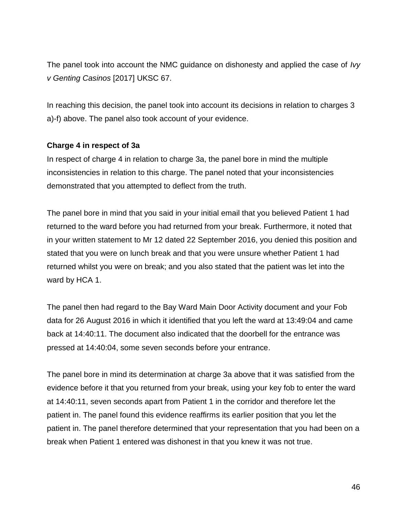The panel took into account the NMC guidance on dishonesty and applied the case of *Ivy v Genting Casinos* [2017] UKSC 67.

In reaching this decision, the panel took into account its decisions in relation to charges 3 a)-f) above. The panel also took account of your evidence.

#### **Charge 4 in respect of 3a**

In respect of charge 4 in relation to charge 3a, the panel bore in mind the multiple inconsistencies in relation to this charge. The panel noted that your inconsistencies demonstrated that you attempted to deflect from the truth.

The panel bore in mind that you said in your initial email that you believed Patient 1 had returned to the ward before you had returned from your break. Furthermore, it noted that in your written statement to Mr 12 dated 22 September 2016, you denied this position and stated that you were on lunch break and that you were unsure whether Patient 1 had returned whilst you were on break; and you also stated that the patient was let into the ward by HCA 1.

The panel then had regard to the Bay Ward Main Door Activity document and your Fob data for 26 August 2016 in which it identified that you left the ward at 13:49:04 and came back at 14:40:11. The document also indicated that the doorbell for the entrance was pressed at 14:40:04, some seven seconds before your entrance.

The panel bore in mind its determination at charge 3a above that it was satisfied from the evidence before it that you returned from your break, using your key fob to enter the ward at 14:40:11, seven seconds apart from Patient 1 in the corridor and therefore let the patient in. The panel found this evidence reaffirms its earlier position that you let the patient in. The panel therefore determined that your representation that you had been on a break when Patient 1 entered was dishonest in that you knew it was not true.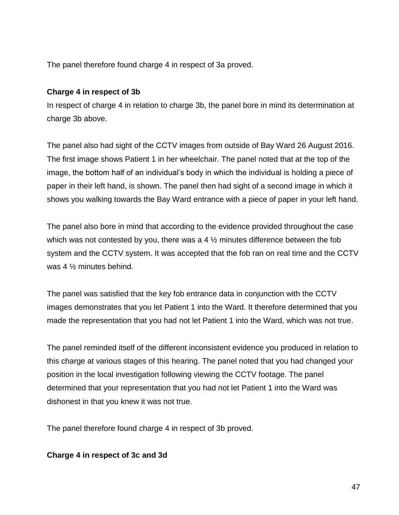The panel therefore found charge 4 in respect of 3a proved.

## **Charge 4 in respect of 3b**

In respect of charge 4 in relation to charge 3b, the panel bore in mind its determination at charge 3b above.

The panel also had sight of the CCTV images from outside of Bay Ward 26 August 2016. The first image shows Patient 1 in her wheelchair. The panel noted that at the top of the image, the bottom half of an individual's body in which the individual is holding a piece of paper in their left hand, is shown. The panel then had sight of a second image in which it shows you walking towards the Bay Ward entrance with a piece of paper in your left hand.

The panel also bore in mind that according to the evidence provided throughout the case which was not contested by you, there was a  $4\frac{1}{2}$  minutes difference between the fob system and the CCTV system. It was accepted that the fob ran on real time and the CCTV was 4 ½ minutes behind.

The panel was satisfied that the key fob entrance data in conjunction with the CCTV images demonstrates that you let Patient 1 into the Ward. It therefore determined that you made the representation that you had not let Patient 1 into the Ward, which was not true.

The panel reminded itself of the different inconsistent evidence you produced in relation to this charge at various stages of this hearing. The panel noted that you had changed your position in the local investigation following viewing the CCTV footage. The panel determined that your representation that you had not let Patient 1 into the Ward was dishonest in that you knew it was not true.

The panel therefore found charge 4 in respect of 3b proved.

## **Charge 4 in respect of 3c and 3d**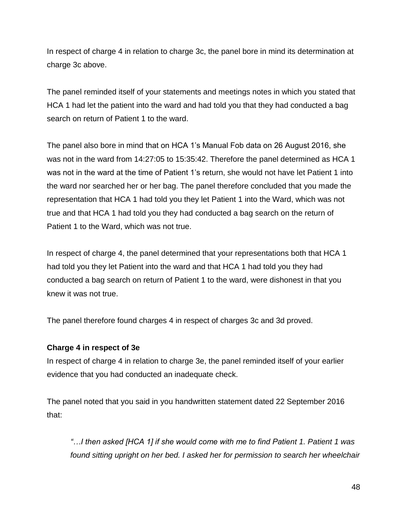In respect of charge 4 in relation to charge 3c, the panel bore in mind its determination at charge 3c above.

The panel reminded itself of your statements and meetings notes in which you stated that HCA 1 had let the patient into the ward and had told you that they had conducted a bag search on return of Patient 1 to the ward.

The panel also bore in mind that on HCA 1's Manual Fob data on 26 August 2016, she was not in the ward from 14:27:05 to 15:35:42. Therefore the panel determined as HCA 1 was not in the ward at the time of Patient 1's return, she would not have let Patient 1 into the ward nor searched her or her bag. The panel therefore concluded that you made the representation that HCA 1 had told you they let Patient 1 into the Ward, which was not true and that HCA 1 had told you they had conducted a bag search on the return of Patient 1 to the Ward, which was not true.

In respect of charge 4, the panel determined that your representations both that HCA 1 had told you they let Patient into the ward and that HCA 1 had told you they had conducted a bag search on return of Patient 1 to the ward, were dishonest in that you knew it was not true.

The panel therefore found charges 4 in respect of charges 3c and 3d proved.

## **Charge 4 in respect of 3e**

In respect of charge 4 in relation to charge 3e, the panel reminded itself of your earlier evidence that you had conducted an inadequate check.

The panel noted that you said in you handwritten statement dated 22 September 2016 that:

*"…I then asked [HCA 1] if she would come with me to find Patient 1. Patient 1 was found sitting upright on her bed. I asked her for permission to search her wheelchair*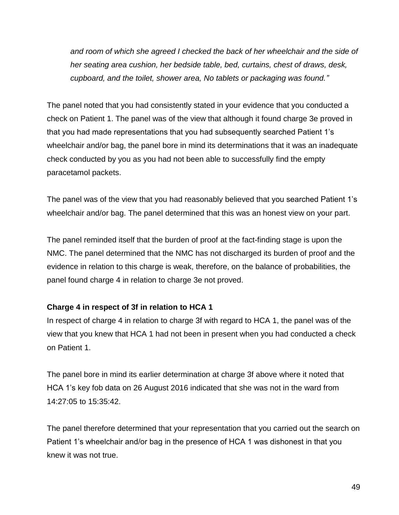*and room of which she agreed I checked the back of her wheelchair and the side of her seating area cushion, her bedside table, bed, curtains, chest of draws, desk, cupboard, and the toilet, shower area, No tablets or packaging was found."*

The panel noted that you had consistently stated in your evidence that you conducted a check on Patient 1. The panel was of the view that although it found charge 3e proved in that you had made representations that you had subsequently searched Patient 1's wheelchair and/or bag, the panel bore in mind its determinations that it was an inadequate check conducted by you as you had not been able to successfully find the empty paracetamol packets.

The panel was of the view that you had reasonably believed that you searched Patient 1's wheelchair and/or bag. The panel determined that this was an honest view on your part.

The panel reminded itself that the burden of proof at the fact-finding stage is upon the NMC. The panel determined that the NMC has not discharged its burden of proof and the evidence in relation to this charge is weak, therefore, on the balance of probabilities, the panel found charge 4 in relation to charge 3e not proved.

## **Charge 4 in respect of 3f in relation to HCA 1**

In respect of charge 4 in relation to charge 3f with regard to HCA 1, the panel was of the view that you knew that HCA 1 had not been in present when you had conducted a check on Patient 1.

The panel bore in mind its earlier determination at charge 3f above where it noted that HCA 1's key fob data on 26 August 2016 indicated that she was not in the ward from 14:27:05 to 15:35:42.

The panel therefore determined that your representation that you carried out the search on Patient 1's wheelchair and/or bag in the presence of HCA 1 was dishonest in that you knew it was not true.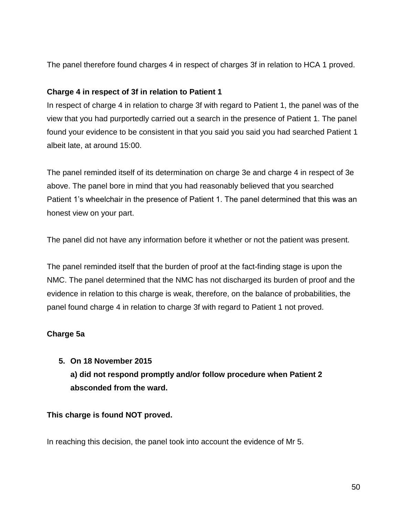The panel therefore found charges 4 in respect of charges 3f in relation to HCA 1 proved.

## **Charge 4 in respect of 3f in relation to Patient 1**

In respect of charge 4 in relation to charge 3f with regard to Patient 1, the panel was of the view that you had purportedly carried out a search in the presence of Patient 1. The panel found your evidence to be consistent in that you said you said you had searched Patient 1 albeit late, at around 15:00.

The panel reminded itself of its determination on charge 3e and charge 4 in respect of 3e above. The panel bore in mind that you had reasonably believed that you searched Patient 1's wheelchair in the presence of Patient 1. The panel determined that this was an honest view on your part.

The panel did not have any information before it whether or not the patient was present.

The panel reminded itself that the burden of proof at the fact-finding stage is upon the NMC. The panel determined that the NMC has not discharged its burden of proof and the evidence in relation to this charge is weak, therefore, on the balance of probabilities, the panel found charge 4 in relation to charge 3f with regard to Patient 1 not proved.

## **Charge 5a**

## **5. On 18 November 2015 a) did not respond promptly and/or follow procedure when Patient 2 absconded from the ward.**

## **This charge is found NOT proved.**

In reaching this decision, the panel took into account the evidence of Mr 5.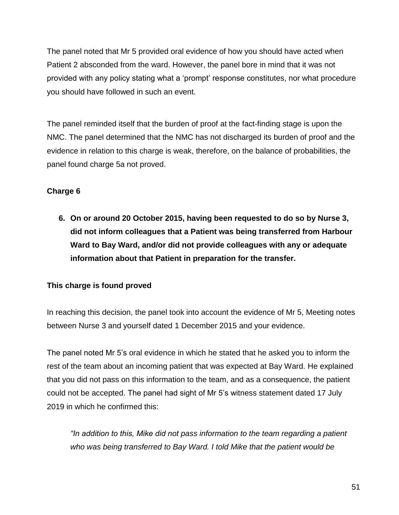The panel noted that Mr 5 provided oral evidence of how you should have acted when Patient 2 absconded from the ward. However, the panel bore in mind that it was not provided with any policy stating what a 'prompt' response constitutes, nor what procedure you should have followed in such an event.

The panel reminded itself that the burden of proof at the fact-finding stage is upon the NMC. The panel determined that the NMC has not discharged its burden of proof and the evidence in relation to this charge is weak, therefore, on the balance of probabilities, the panel found charge 5a not proved.

## **Charge 6**

**6. On or around 20 October 2015, having been requested to do so by Nurse 3, did not inform colleagues that a Patient was being transferred from Harbour Ward to Bay Ward, and/or did not provide colleagues with any or adequate information about that Patient in preparation for the transfer.** 

## **This charge is found proved**

In reaching this decision, the panel took into account the evidence of Mr 5, Meeting notes between Nurse 3 and yourself dated 1 December 2015 and your evidence.

The panel noted Mr 5's oral evidence in which he stated that he asked you to inform the rest of the team about an incoming patient that was expected at Bay Ward. He explained that you did not pass on this information to the team, and as a consequence, the patient could not be accepted. The panel had sight of Mr 5's witness statement dated 17 July 2019 in which he confirmed this:

*"In addition to this, Mike did not pass information to the team regarding a patient who was being transferred to Bay Ward. I told Mike that the patient would be*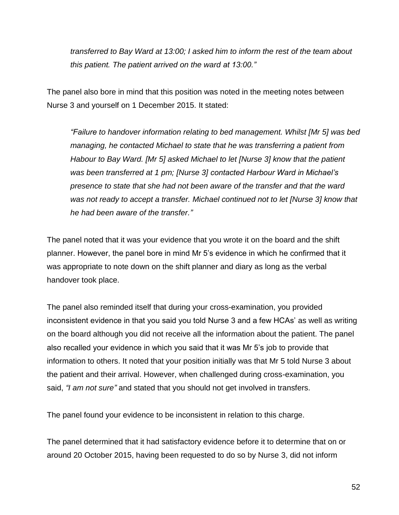*transferred to Bay Ward at 13:00; I asked him to inform the rest of the team about this patient. The patient arrived on the ward at 13:00."*

The panel also bore in mind that this position was noted in the meeting notes between Nurse 3 and yourself on 1 December 2015. It stated:

*"Failure to handover information relating to bed management. Whilst [Mr 5] was bed managing, he contacted Michael to state that he was transferring a patient from Habour to Bay Ward. [Mr 5] asked Michael to let [Nurse 3] know that the patient was been transferred at 1 pm; [Nurse 3] contacted Harbour Ward in Michael's presence to state that she had not been aware of the transfer and that the ward was not ready to accept a transfer. Michael continued not to let [Nurse 3] know that he had been aware of the transfer."*

The panel noted that it was your evidence that you wrote it on the board and the shift planner. However, the panel bore in mind Mr 5's evidence in which he confirmed that it was appropriate to note down on the shift planner and diary as long as the verbal handover took place.

The panel also reminded itself that during your cross-examination, you provided inconsistent evidence in that you said you told Nurse 3 and a few HCAs' as well as writing on the board although you did not receive all the information about the patient. The panel also recalled your evidence in which you said that it was Mr 5's job to provide that information to others. It noted that your position initially was that Mr 5 told Nurse 3 about the patient and their arrival. However, when challenged during cross-examination, you said, *"I am not sure"* and stated that you should not get involved in transfers.

The panel found your evidence to be inconsistent in relation to this charge.

The panel determined that it had satisfactory evidence before it to determine that on or around 20 October 2015, having been requested to do so by Nurse 3, did not inform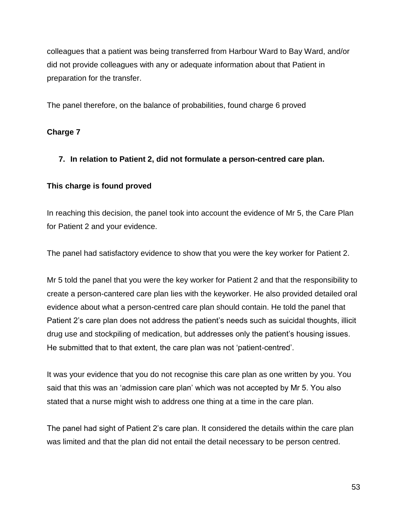colleagues that a patient was being transferred from Harbour Ward to Bay Ward, and/or did not provide colleagues with any or adequate information about that Patient in preparation for the transfer.

The panel therefore, on the balance of probabilities, found charge 6 proved

## **Charge 7**

## **7. In relation to Patient 2, did not formulate a person-centred care plan.**

#### **This charge is found proved**

In reaching this decision, the panel took into account the evidence of Mr 5, the Care Plan for Patient 2 and your evidence.

The panel had satisfactory evidence to show that you were the key worker for Patient 2.

Mr 5 told the panel that you were the key worker for Patient 2 and that the responsibility to create a person-cantered care plan lies with the keyworker. He also provided detailed oral evidence about what a person-centred care plan should contain. He told the panel that Patient 2's care plan does not address the patient's needs such as suicidal thoughts, illicit drug use and stockpiling of medication, but addresses only the patient's housing issues. He submitted that to that extent, the care plan was not 'patient-centred'.

It was your evidence that you do not recognise this care plan as one written by you. You said that this was an 'admission care plan' which was not accepted by Mr 5. You also stated that a nurse might wish to address one thing at a time in the care plan.

The panel had sight of Patient 2's care plan. It considered the details within the care plan was limited and that the plan did not entail the detail necessary to be person centred.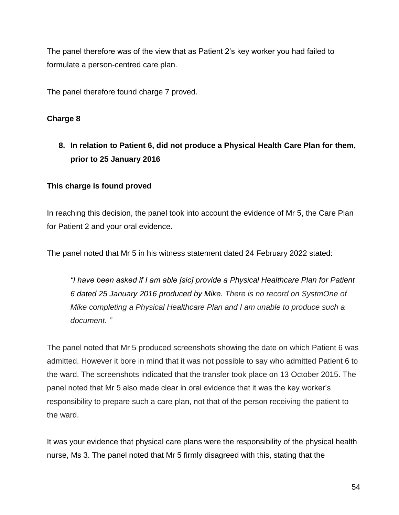The panel therefore was of the view that as Patient 2's key worker you had failed to formulate a person-centred care plan.

The panel therefore found charge 7 proved.

## **Charge 8**

## **8. In relation to Patient 6, did not produce a Physical Health Care Plan for them, prior to 25 January 2016**

## **This charge is found proved**

In reaching this decision, the panel took into account the evidence of Mr 5, the Care Plan for Patient 2 and your oral evidence.

The panel noted that Mr 5 in his witness statement dated 24 February 2022 stated:

*"I have been asked if I am able [sic] provide a Physical Healthcare Plan for Patient 6 dated 25 January 2016 produced by Mike. There is no record on SystmOne of Mike completing a Physical Healthcare Plan and I am unable to produce such a document. "*

The panel noted that Mr 5 produced screenshots showing the date on which Patient 6 was admitted. However it bore in mind that it was not possible to say who admitted Patient 6 to the ward. The screenshots indicated that the transfer took place on 13 October 2015. The panel noted that Mr 5 also made clear in oral evidence that it was the key worker's responsibility to prepare such a care plan, not that of the person receiving the patient to the ward.

It was your evidence that physical care plans were the responsibility of the physical health nurse, Ms 3. The panel noted that Mr 5 firmly disagreed with this, stating that the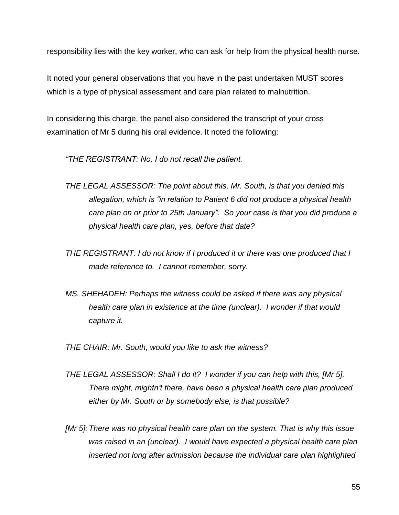responsibility lies with the key worker, who can ask for help from the physical health nurse.

It noted your general observations that you have in the past undertaken MUST scores which is a type of physical assessment and care plan related to malnutrition.

In considering this charge, the panel also considered the transcript of your cross examination of Mr 5 during his oral evidence. It noted the following:

*"THE REGISTRANT: No, I do not recall the patient.*

- *THE LEGAL ASSESSOR: The point about this, Mr. South, is that you denied this allegation, which is "in relation to Patient 6 did not produce a physical health care plan on or prior to 25th January". So your case is that you did produce a physical health care plan, yes, before that date?*
- *THE REGISTRANT: I do not know if I produced it or there was one produced that I made reference to. I cannot remember, sorry.*
- *MS. SHEHADEH: Perhaps the witness could be asked if there was any physical health care plan in existence at the time (unclear). I wonder if that would capture it.*

*THE CHAIR: Mr. South, would you like to ask the witness?* 

- *THE LEGAL ASSESSOR: Shall I do it? I wonder if you can help with this, [Mr 5]. There might, mightn't there, have been a physical health care plan produced either by Mr. South or by somebody else, is that possible?*
- *[Mr 5]: There was no physical health care plan on the system. That is why this issue was raised in an (unclear). I would have expected a physical health care plan inserted not long after admission because the individual care plan highlighted*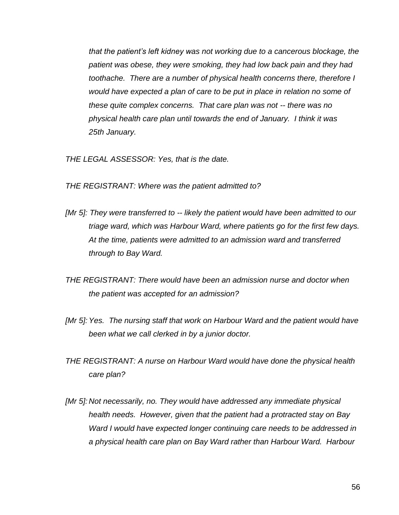*that the patient's left kidney was not working due to a cancerous blockage, the patient was obese, they were smoking, they had low back pain and they had toothache. There are a number of physical health concerns there, therefore I would have expected a plan of care to be put in place in relation no some of these quite complex concerns. That care plan was not -- there was no physical health care plan until towards the end of January. I think it was 25th January.*

*THE LEGAL ASSESSOR: Yes, that is the date.*

*THE REGISTRANT: Where was the patient admitted to?*

- *[Mr 5]: They were transferred to -- likely the patient would have been admitted to our triage ward, which was Harbour Ward, where patients go for the first few days. At the time, patients were admitted to an admission ward and transferred through to Bay Ward.*
- *THE REGISTRANT: There would have been an admission nurse and doctor when the patient was accepted for an admission?*
- *[Mr 5]: Yes. The nursing staff that work on Harbour Ward and the patient would have been what we call clerked in by a junior doctor.*
- *THE REGISTRANT: A nurse on Harbour Ward would have done the physical health care plan?*
- *[Mr 5]: Not necessarily, no. They would have addressed any immediate physical health needs. However, given that the patient had a protracted stay on Bay Ward I would have expected longer continuing care needs to be addressed in a physical health care plan on Bay Ward rather than Harbour Ward. Harbour*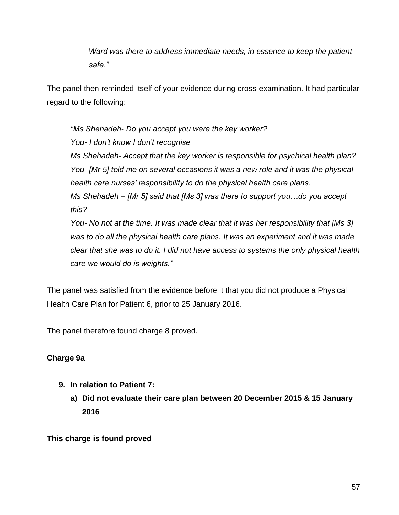*Ward was there to address immediate needs, in essence to keep the patient safe."*

The panel then reminded itself of your evidence during cross-examination. It had particular regard to the following:

*"Ms Shehadeh- Do you accept you were the key worker? You- I don't know I don't recognise Ms Shehadeh- Accept that the key worker is responsible for psychical health plan? You- [Mr 5] told me on several occasions it was a new role and it was the physical health care nurses' responsibility to do the physical health care plans. Ms Shehadeh – [Mr 5] said that [Ms 3] was there to support you…do you accept this? You- No not at the time. It was made clear that it was her responsibility that [Ms 3] was to do all the physical health care plans. It was an experiment and it was made clear that she was to do it. I did not have access to systems the only physical health care we would do is weights."*

The panel was satisfied from the evidence before it that you did not produce a Physical Health Care Plan for Patient 6, prior to 25 January 2016.

The panel therefore found charge 8 proved.

## **Charge 9a**

- **9. In relation to Patient 7:** 
	- **a) Did not evaluate their care plan between 20 December 2015 & 15 January 2016**

**This charge is found proved**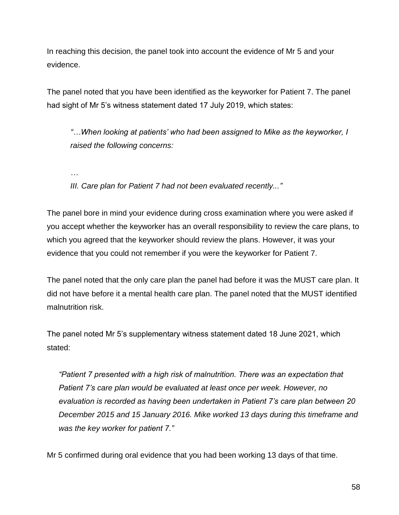In reaching this decision, the panel took into account the evidence of Mr 5 and your evidence.

The panel noted that you have been identified as the keyworker for Patient 7. The panel had sight of Mr 5's witness statement dated 17 July 2019, which states:

*"…When looking at patients' who had been assigned to Mike as the keyworker, I raised the following concerns:*

*…*

*III. Care plan for Patient 7 had not been evaluated recently..."*

The panel bore in mind your evidence during cross examination where you were asked if you accept whether the keyworker has an overall responsibility to review the care plans, to which you agreed that the keyworker should review the plans. However, it was your evidence that you could not remember if you were the keyworker for Patient 7.

The panel noted that the only care plan the panel had before it was the MUST care plan. It did not have before it a mental health care plan. The panel noted that the MUST identified malnutrition risk.

The panel noted Mr 5's supplementary witness statement dated 18 June 2021, which stated:

*"Patient 7 presented with a high risk of malnutrition. There was an expectation that Patient 7's care plan would be evaluated at least once per week. However, no evaluation is recorded as having been undertaken in Patient 7's care plan between 20 December 2015 and 15 January 2016. Mike worked 13 days during this timeframe and was the key worker for patient 7."*

Mr 5 confirmed during oral evidence that you had been working 13 days of that time.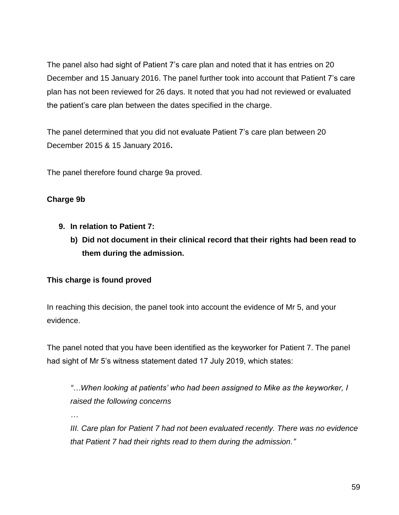The panel also had sight of Patient 7's care plan and noted that it has entries on 20 December and 15 January 2016. The panel further took into account that Patient 7's care plan has not been reviewed for 26 days. It noted that you had not reviewed or evaluated the patient's care plan between the dates specified in the charge.

The panel determined that you did not evaluate Patient 7's care plan between 20 December 2015 & 15 January 2016**.** 

The panel therefore found charge 9a proved.

## **Charge 9b**

- **9. In relation to Patient 7:** 
	- **b) Did not document in their clinical record that their rights had been read to them during the admission.**

## **This charge is found proved**

In reaching this decision, the panel took into account the evidence of Mr 5, and your evidence.

The panel noted that you have been identified as the keyworker for Patient 7. The panel had sight of Mr 5's witness statement dated 17 July 2019, which states:

*"…When looking at patients' who had been assigned to Mike as the keyworker, I raised the following concerns*

*…*

*III. Care plan for Patient 7 had not been evaluated recently. There was no evidence that Patient 7 had their rights read to them during the admission."*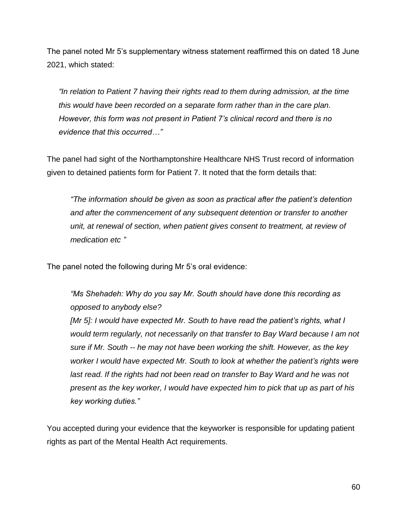The panel noted Mr 5's supplementary witness statement reaffirmed this on dated 18 June 2021, which stated:

*"In relation to Patient 7 having their rights read to them during admission, at the time this would have been recorded on a separate form rather than in the care plan. However, this form was not present in Patient 7's clinical record and there is no evidence that this occurred…"*

The panel had sight of the Northamptonshire Healthcare NHS Trust record of information given to detained patients form for Patient 7. It noted that the form details that:

*"The information should be given as soon as practical after the patient's detention and after the commencement of any subsequent detention or transfer to another unit, at renewal of section, when patient gives consent to treatment, at review of medication etc "*

The panel noted the following during Mr 5's oral evidence:

*"Ms Shehadeh: Why do you say Mr. South should have done this recording as opposed to anybody else?*

*[Mr 5]: I would have expected Mr. South to have read the patient's rights, what I would term regularly, not necessarily on that transfer to Bay Ward because I am not sure if Mr. South -- he may not have been working the shift. However, as the key worker I would have expected Mr. South to look at whether the patient's rights were*  last read. If the rights had not been read on transfer to Bay Ward and he was not *present as the key worker, I would have expected him to pick that up as part of his key working duties."*

You accepted during your evidence that the keyworker is responsible for updating patient rights as part of the Mental Health Act requirements.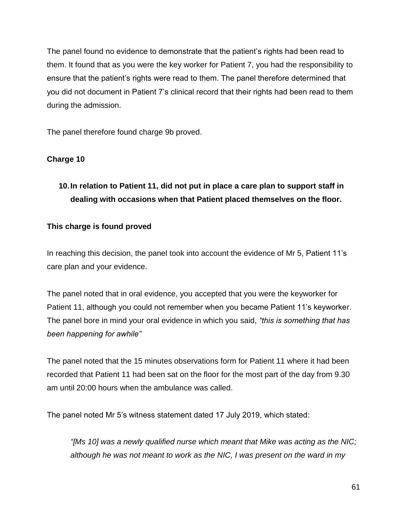The panel found no evidence to demonstrate that the patient's rights had been read to them. It found that as you were the key worker for Patient 7, you had the responsibility to ensure that the patient's rights were read to them. The panel therefore determined that you did not document in Patient 7's clinical record that their rights had been read to them during the admission.

The panel therefore found charge 9b proved.

## **Charge 10**

## **10.In relation to Patient 11, did not put in place a care plan to support staff in dealing with occasions when that Patient placed themselves on the floor.**

## **This charge is found proved**

In reaching this decision, the panel took into account the evidence of Mr 5, Patient 11's care plan and your evidence.

The panel noted that in oral evidence, you accepted that you were the keyworker for Patient 11, although you could not remember when you became Patient 11's keyworker. The panel bore in mind your oral evidence in which you said, *"this is something that has been happening for awhile"*

The panel noted that the 15 minutes observations form for Patient 11 where it had been recorded that Patient 11 had been sat on the floor for the most part of the day from 9.30 am until 20:00 hours when the ambulance was called.

The panel noted Mr 5's witness statement dated 17 July 2019, which stated:

*"[Ms 10] was a newly qualified nurse which meant that Mike was acting as the NIC; although he was not meant to work as the NIC, I was present on the ward in my*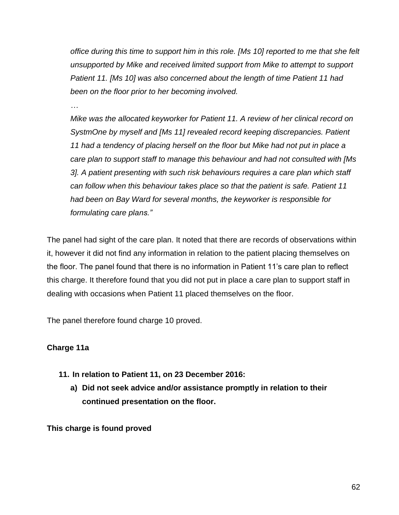*office during this time to support him in this role. [Ms 10] reported to me that she felt unsupported by Mike and received limited support from Mike to attempt to support Patient 11. [Ms 10] was also concerned about the length of time Patient 11 had been on the floor prior to her becoming involved.*

*…*

*Mike was the allocated keyworker for Patient 11. A review of her clinical record on SystmOne by myself and [Ms 11] revealed record keeping discrepancies. Patient 11 had a tendency of placing herself on the floor but Mike had not put in place a care plan to support staff to manage this behaviour and had not consulted with [Ms 3]. A patient presenting with such risk behaviours requires a care plan which staff can follow when this behaviour takes place so that the patient is safe. Patient 11 had been on Bay Ward for several months, the keyworker is responsible for formulating care plans."*

The panel had sight of the care plan. It noted that there are records of observations within it, however it did not find any information in relation to the patient placing themselves on the floor. The panel found that there is no information in Patient 11's care plan to reflect this charge. It therefore found that you did not put in place a care plan to support staff in dealing with occasions when Patient 11 placed themselves on the floor.

The panel therefore found charge 10 proved.

## **Charge 11a**

- **11. In relation to Patient 11, on 23 December 2016:** 
	- **a) Did not seek advice and/or assistance promptly in relation to their continued presentation on the floor.**

**This charge is found proved**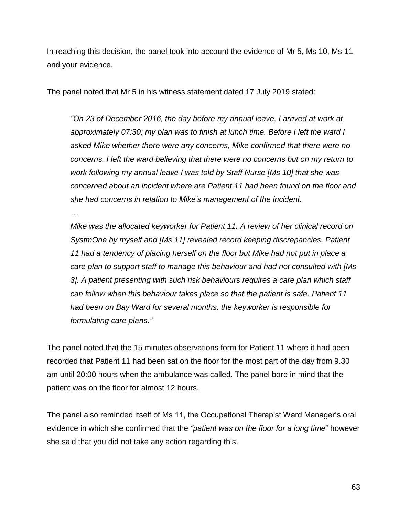In reaching this decision, the panel took into account the evidence of Mr 5, Ms 10, Ms 11 and your evidence.

The panel noted that Mr 5 in his witness statement dated 17 July 2019 stated:

*"On 23 of December 2016, the day before my annual leave, I arrived at work at approximately 07:30; my plan was to finish at lunch time. Before I left the ward I asked Mike whether there were any concerns, Mike confirmed that there were no concerns. I left the ward believing that there were no concerns but on my return to work following my annual leave I was told by Staff Nurse [Ms 10] that she was concerned about an incident where are Patient 11 had been found on the floor and she had concerns in relation to Mike's management of the incident.*

*…*

*Mike was the allocated keyworker for Patient 11. A review of her clinical record on SystmOne by myself and [Ms 11] revealed record keeping discrepancies. Patient 11 had a tendency of placing herself on the floor but Mike had not put in place a care plan to support staff to manage this behaviour and had not consulted with [Ms 3]. A patient presenting with such risk behaviours requires a care plan which staff can follow when this behaviour takes place so that the patient is safe. Patient 11 had been on Bay Ward for several months, the keyworker is responsible for formulating care plans."*

The panel noted that the 15 minutes observations form for Patient 11 where it had been recorded that Patient 11 had been sat on the floor for the most part of the day from 9.30 am until 20:00 hours when the ambulance was called. The panel bore in mind that the patient was on the floor for almost 12 hours.

The panel also reminded itself of Ms 11, the Occupational Therapist Ward Manager's oral evidence in which she confirmed that the *"patient was on the floor for a long time*" however she said that you did not take any action regarding this.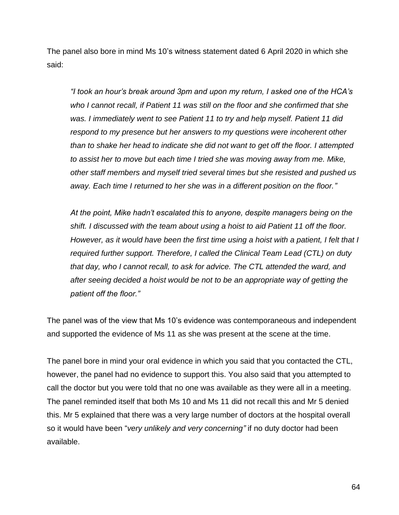The panel also bore in mind Ms 10's witness statement dated 6 April 2020 in which she said:

*"I took an hour's break around 3pm and upon my return, I asked one of the HCA's who I cannot recall, if Patient 11 was still on the floor and she confirmed that she was. I immediately went to see Patient 11 to try and help myself. Patient 11 did respond to my presence but her answers to my questions were incoherent other than to shake her head to indicate she did not want to get off the floor. I attempted to assist her to move but each time I tried she was moving away from me. Mike, other staff members and myself tried several times but she resisted and pushed us away. Each time I returned to her she was in a different position on the floor."*

*At the point, Mike hadn't escalated this to anyone, despite managers being on the shift. I discussed with the team about using a hoist to aid Patient 11 off the floor. However, as it would have been the first time using a hoist with a patient, I felt that I required further support. Therefore, I called the Clinical Team Lead (CTL) on duty that day, who I cannot recall, to ask for advice. The CTL attended the ward, and after seeing decided a hoist would be not to be an appropriate way of getting the patient off the floor."*

The panel was of the view that Ms 10's evidence was contemporaneous and independent and supported the evidence of Ms 11 as she was present at the scene at the time.

The panel bore in mind your oral evidence in which you said that you contacted the CTL, however, the panel had no evidence to support this. You also said that you attempted to call the doctor but you were told that no one was available as they were all in a meeting. The panel reminded itself that both Ms 10 and Ms 11 did not recall this and Mr 5 denied this. Mr 5 explained that there was a very large number of doctors at the hospital overall so it would have been "*very unlikely and very concerning"* if no duty doctor had been available.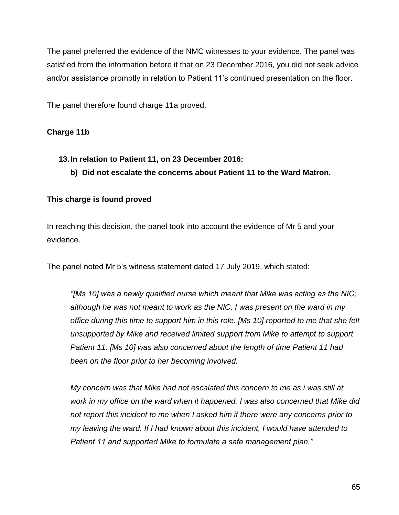The panel preferred the evidence of the NMC witnesses to your evidence. The panel was satisfied from the information before it that on 23 December 2016, you did not seek advice and/or assistance promptly in relation to Patient 11's continued presentation on the floor.

The panel therefore found charge 11a proved.

## **Charge 11b**

- **13.In relation to Patient 11, on 23 December 2016:** 
	- **b) Did not escalate the concerns about Patient 11 to the Ward Matron.**

## **This charge is found proved**

In reaching this decision, the panel took into account the evidence of Mr 5 and your evidence.

The panel noted Mr 5's witness statement dated 17 July 2019, which stated:

*"[Ms 10] was a newly qualified nurse which meant that Mike was acting as the NIC; although he was not meant to work as the NIC, I was present on the ward in my office during this time to support him in this role. [Ms 10] reported to me that she felt unsupported by Mike and received limited support from Mike to attempt to support Patient 11. [Ms 10] was also concerned about the length of time Patient 11 had been on the floor prior to her becoming involved.*

*My concern was that Mike had not escalated this concern to me as i was still at work in my office on the ward when it happened. I was also concerned that Mike did not report this incident to me when I asked him if there were any concerns prior to my leaving the ward. If I had known about this incident, I would have attended to Patient 11 and supported Mike to formulate a safe management plan."*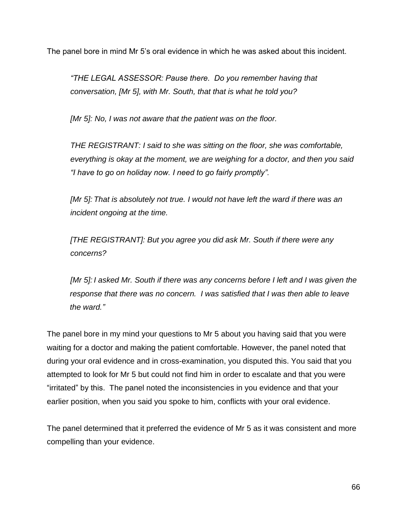The panel bore in mind Mr 5's oral evidence in which he was asked about this incident.

*"THE LEGAL ASSESSOR: Pause there. Do you remember having that conversation, [Mr 5], with Mr. South, that that is what he told you?*

*[Mr 5]: No, I was not aware that the patient was on the floor.*

*THE REGISTRANT: I said to she was sitting on the floor, she was comfortable, everything is okay at the moment, we are weighing for a doctor, and then you said "I have to go on holiday now. I need to go fairly promptly".* 

*[Mr 5]: That is absolutely not true. I would not have left the ward if there was an incident ongoing at the time.*

*[THE REGISTRANT]: But you agree you did ask Mr. South if there were any concerns?*

*[Mr 5]: I asked Mr. South if there was any concerns before I left and I was given the response that there was no concern. I was satisfied that I was then able to leave the ward."*

The panel bore in my mind your questions to Mr 5 about you having said that you were waiting for a doctor and making the patient comfortable. However, the panel noted that during your oral evidence and in cross-examination, you disputed this. You said that you attempted to look for Mr 5 but could not find him in order to escalate and that you were "irritated" by this. The panel noted the inconsistencies in you evidence and that your earlier position, when you said you spoke to him, conflicts with your oral evidence.

The panel determined that it preferred the evidence of Mr 5 as it was consistent and more compelling than your evidence.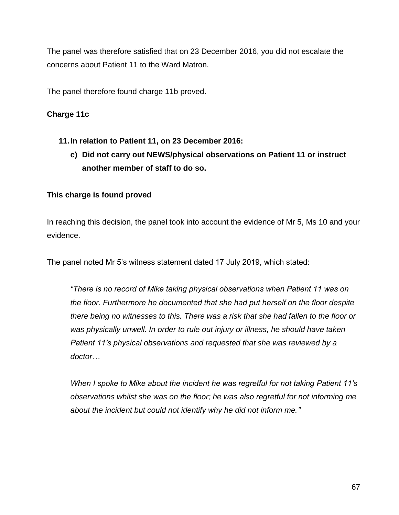The panel was therefore satisfied that on 23 December 2016, you did not escalate the concerns about Patient 11 to the Ward Matron.

The panel therefore found charge 11b proved.

## **Charge 11c**

- **11.In relation to Patient 11, on 23 December 2016:** 
	- **c) Did not carry out NEWS/physical observations on Patient 11 or instruct another member of staff to do so.**

## **This charge is found proved**

In reaching this decision, the panel took into account the evidence of Mr 5, Ms 10 and your evidence.

The panel noted Mr 5's witness statement dated 17 July 2019, which stated:

*"There is no record of Mike taking physical observations when Patient 11 was on the floor. Furthermore he documented that she had put herself on the floor despite there being no witnesses to this. There was a risk that she had fallen to the floor or*  was physically unwell. In order to rule out injury or illness, he should have taken *Patient 11's physical observations and requested that she was reviewed by a doctor…*

*When I spoke to Mike about the incident he was regretful for not taking Patient 11's observations whilst she was on the floor; he was also regretful for not informing me about the incident but could not identify why he did not inform me."*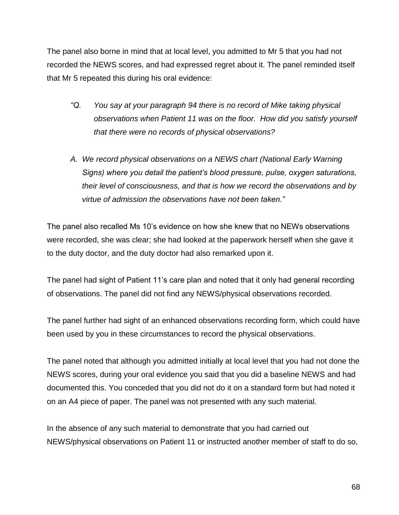The panel also borne in mind that at local level, you admitted to Mr 5 that you had not recorded the NEWS scores, and had expressed regret about it. The panel reminded itself that Mr 5 repeated this during his oral evidence:

- *"Q. You say at your paragraph 94 there is no record of Mike taking physical observations when Patient 11 was on the floor. How did you satisfy yourself that there were no records of physical observations?*
- *A. We record physical observations on a NEWS chart (National Early Warning Signs) where you detail the patient's blood pressure, pulse, oxygen saturations, their level of consciousness, and that is how we record the observations and by virtue of admission the observations have not been taken."*

The panel also recalled Ms 10's evidence on how she knew that no NEWs observations were recorded, she was clear; she had looked at the paperwork herself when she gave it to the duty doctor, and the duty doctor had also remarked upon it.

The panel had sight of Patient 11's care plan and noted that it only had general recording of observations. The panel did not find any NEWS/physical observations recorded.

The panel further had sight of an enhanced observations recording form, which could have been used by you in these circumstances to record the physical observations.

The panel noted that although you admitted initially at local level that you had not done the NEWS scores, during your oral evidence you said that you did a baseline NEWS and had documented this. You conceded that you did not do it on a standard form but had noted it on an A4 piece of paper. The panel was not presented with any such material.

In the absence of any such material to demonstrate that you had carried out NEWS/physical observations on Patient 11 or instructed another member of staff to do so,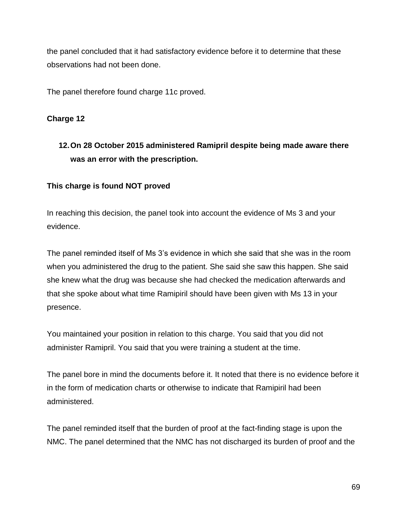the panel concluded that it had satisfactory evidence before it to determine that these observations had not been done.

The panel therefore found charge 11c proved.

## **Charge 12**

## **12.On 28 October 2015 administered Ramipril despite being made aware there was an error with the prescription.**

## **This charge is found NOT proved**

In reaching this decision, the panel took into account the evidence of Ms 3 and your evidence.

The panel reminded itself of Ms 3's evidence in which she said that she was in the room when you administered the drug to the patient. She said she saw this happen. She said she knew what the drug was because she had checked the medication afterwards and that she spoke about what time Ramipiril should have been given with Ms 13 in your presence.

You maintained your position in relation to this charge. You said that you did not administer Ramipril. You said that you were training a student at the time.

The panel bore in mind the documents before it. It noted that there is no evidence before it in the form of medication charts or otherwise to indicate that Ramipiril had been administered.

The panel reminded itself that the burden of proof at the fact-finding stage is upon the NMC. The panel determined that the NMC has not discharged its burden of proof and the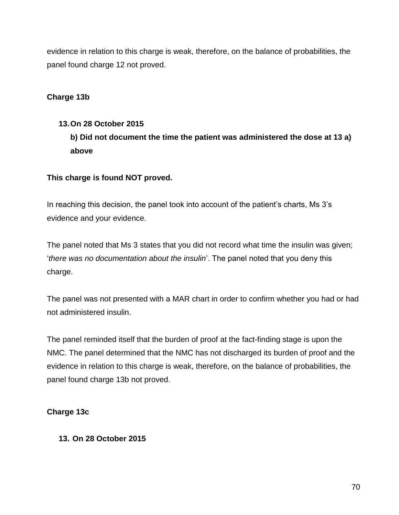evidence in relation to this charge is weak, therefore, on the balance of probabilities, the panel found charge 12 not proved.

## **Charge 13b**

# **13.On 28 October 2015 b) Did not document the time the patient was administered the dose at 13 a) above**

## **This charge is found NOT proved.**

In reaching this decision, the panel took into account of the patient's charts, Ms 3's evidence and your evidence.

The panel noted that Ms 3 states that you did not record what time the insulin was given; '*there was no documentation about the insulin*'. The panel noted that you deny this charge.

The panel was not presented with a MAR chart in order to confirm whether you had or had not administered insulin.

The panel reminded itself that the burden of proof at the fact-finding stage is upon the NMC. The panel determined that the NMC has not discharged its burden of proof and the evidence in relation to this charge is weak, therefore, on the balance of probabilities, the panel found charge 13b not proved.

## **Charge 13c**

## **13. On 28 October 2015**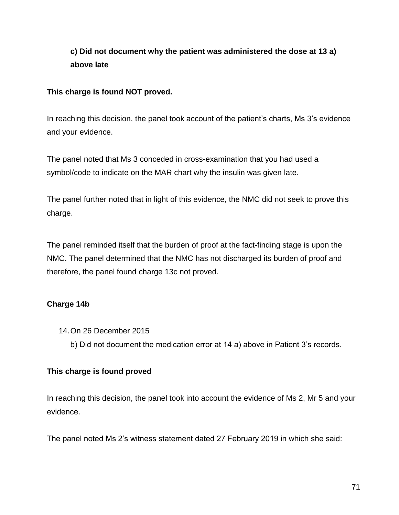## **c) Did not document why the patient was administered the dose at 13 a) above late**

## **This charge is found NOT proved.**

In reaching this decision, the panel took account of the patient's charts, Ms 3's evidence and your evidence.

The panel noted that Ms 3 conceded in cross-examination that you had used a symbol/code to indicate on the MAR chart why the insulin was given late.

The panel further noted that in light of this evidence, the NMC did not seek to prove this charge.

The panel reminded itself that the burden of proof at the fact-finding stage is upon the NMC. The panel determined that the NMC has not discharged its burden of proof and therefore, the panel found charge 13c not proved.

## **Charge 14b**

- 14.On 26 December 2015
	- b) Did not document the medication error at 14 a) above in Patient 3's records.

## **This charge is found proved**

In reaching this decision, the panel took into account the evidence of Ms 2, Mr 5 and your evidence.

The panel noted Ms 2's witness statement dated 27 February 2019 in which she said: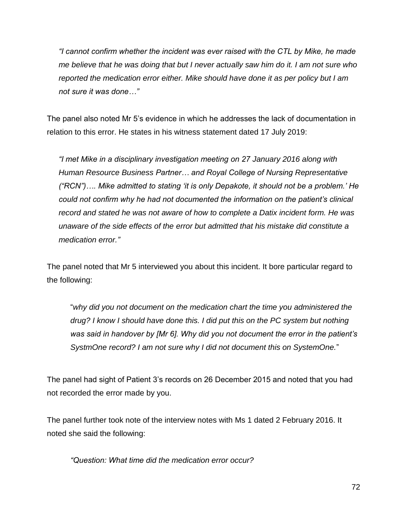*"I cannot confirm whether the incident was ever raised with the CTL by Mike, he made me believe that he was doing that but I never actually saw him do it. I am not sure who reported the medication error either. Mike should have done it as per policy but I am not sure it was done…"*

The panel also noted Mr 5's evidence in which he addresses the lack of documentation in relation to this error. He states in his witness statement dated 17 July 2019:

*"I met Mike in a disciplinary investigation meeting on 27 January 2016 along with Human Resource Business Partner… and Royal College of Nursing Representative ("RCN")…. Mike admitted to stating 'it is only Depakote, it should not be a problem.' He could not confirm why he had not documented the information on the patient's clinical record and stated he was not aware of how to complete a Datix incident form. He was unaware of the side effects of the error but admitted that his mistake did constitute a medication error."*

The panel noted that Mr 5 interviewed you about this incident. It bore particular regard to the following:

"*why did you not document on the medication chart the time you administered the drug? I know I should have done this. I did put this on the PC system but nothing was said in handover by [Mr 6]. Why did you not document the error in the patient's SystmOne record? I am not sure why I did not document this on SystemOne.*"

The panel had sight of Patient 3's records on 26 December 2015 and noted that you had not recorded the error made by you.

The panel further took note of the interview notes with Ms 1 dated 2 February 2016. It noted she said the following:

*"Question: What time did the medication error occur?*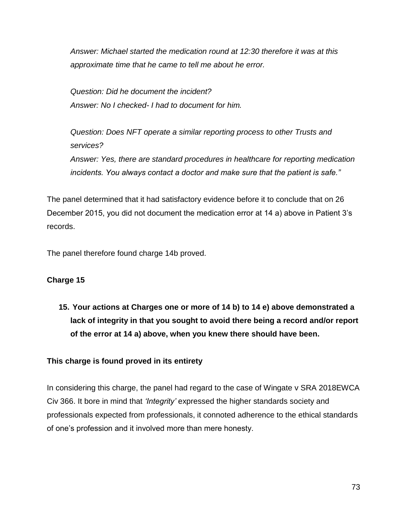*Answer: Michael started the medication round at 12:30 therefore it was at this approximate time that he came to tell me about he error.*

*Question: Did he document the incident? Answer: No I checked- I had to document for him.*

*Question: Does NFT operate a similar reporting process to other Trusts and services? Answer: Yes, there are standard procedures in healthcare for reporting medication incidents. You always contact a doctor and make sure that the patient is safe."*

The panel determined that it had satisfactory evidence before it to conclude that on 26 December 2015, you did not document the medication error at 14 a) above in Patient 3's records.

The panel therefore found charge 14b proved.

# **Charge 15**

**15. Your actions at Charges one or more of 14 b) to 14 e) above demonstrated a lack of integrity in that you sought to avoid there being a record and/or report of the error at 14 a) above, when you knew there should have been.** 

# **This charge is found proved in its entirety**

In considering this charge, the panel had regard to the case of Wingate v SRA 2018EWCA Civ 366. It bore in mind that *'Integrity'* expressed the higher standards society and professionals expected from professionals, it connoted adherence to the ethical standards of one's profession and it involved more than mere honesty.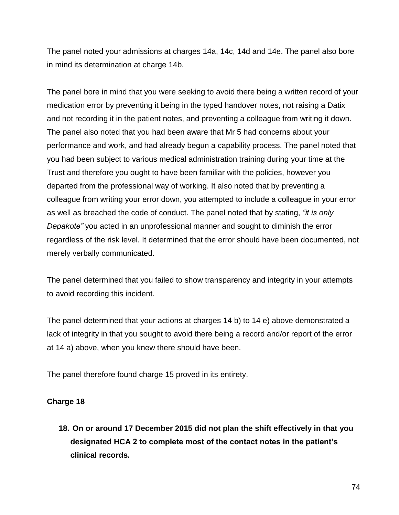The panel noted your admissions at charges 14a, 14c, 14d and 14e. The panel also bore in mind its determination at charge 14b.

The panel bore in mind that you were seeking to avoid there being a written record of your medication error by preventing it being in the typed handover notes, not raising a Datix and not recording it in the patient notes, and preventing a colleague from writing it down. The panel also noted that you had been aware that Mr 5 had concerns about your performance and work, and had already begun a capability process. The panel noted that you had been subject to various medical administration training during your time at the Trust and therefore you ought to have been familiar with the policies, however you departed from the professional way of working. It also noted that by preventing a colleague from writing your error down, you attempted to include a colleague in your error as well as breached the code of conduct. The panel noted that by stating, *"it is only Depakote"* you acted in an unprofessional manner and sought to diminish the error regardless of the risk level. It determined that the error should have been documented, not merely verbally communicated.

The panel determined that you failed to show transparency and integrity in your attempts to avoid recording this incident.

The panel determined that your actions at charges 14 b) to 14 e) above demonstrated a lack of integrity in that you sought to avoid there being a record and/or report of the error at 14 a) above, when you knew there should have been.

The panel therefore found charge 15 proved in its entirety.

# **Charge 18**

**18. On or around 17 December 2015 did not plan the shift effectively in that you designated HCA 2 to complete most of the contact notes in the patient's clinical records.**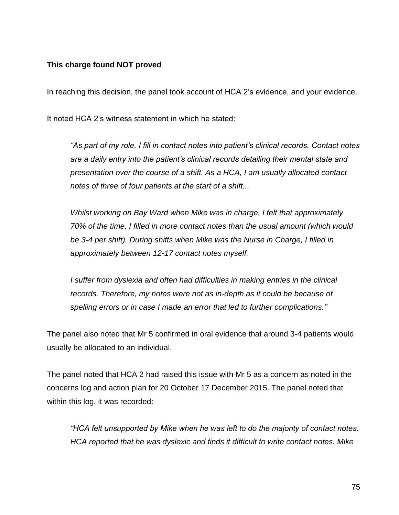#### **This charge found NOT proved**

In reaching this decision, the panel took account of HCA 2's evidence, and your evidence.

It noted HCA 2's witness statement in which he stated:

*"As part of my role, I fill in contact notes into patient's clinical records. Contact notes are a daily entry into the patient's clinical records detailing their mental state and presentation over the course of a shift. As a HCA, I am usually allocated contact notes of three of four patients at the start of a shift...*

*Whilst working on Bay Ward when Mike was in charge, I felt that approximately 70% of the time, I filled in more contact notes than the usual amount (which would be 3-4 per shift). During shifts when Mike was the Nurse in Charge, I filled in approximately between 12-17 contact notes myself.* 

*I suffer from dyslexia and often had difficulties in making entries in the clinical records. Therefore, my notes were not as in-depth as it could be because of spelling errors or in case I made an error that led to further complications."*

The panel also noted that Mr 5 confirmed in oral evidence that around 3-4 patients would usually be allocated to an individual.

The panel noted that HCA 2 had raised this issue with Mr 5 as a concern as noted in the concerns log and action plan for 20 October 17 December 2015. The panel noted that within this log, it was recorded:

*"HCA felt unsupported by Mike when he was left to do the majority of contact notes. HCA reported that he was dyslexic and finds it difficult to write contact notes. Mike*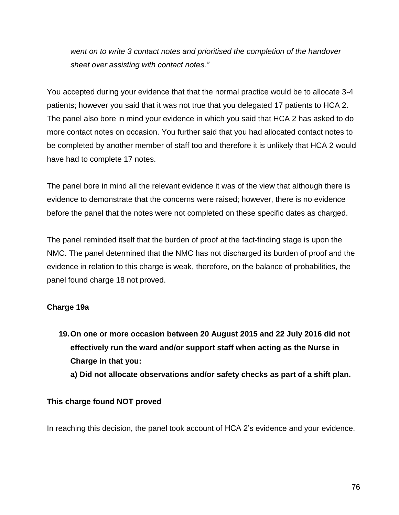*went on to write 3 contact notes and prioritised the completion of the handover sheet over assisting with contact notes."*

You accepted during your evidence that that the normal practice would be to allocate 3-4 patients; however you said that it was not true that you delegated 17 patients to HCA 2. The panel also bore in mind your evidence in which you said that HCA 2 has asked to do more contact notes on occasion. You further said that you had allocated contact notes to be completed by another member of staff too and therefore it is unlikely that HCA 2 would have had to complete 17 notes.

The panel bore in mind all the relevant evidence it was of the view that although there is evidence to demonstrate that the concerns were raised; however, there is no evidence before the panel that the notes were not completed on these specific dates as charged.

The panel reminded itself that the burden of proof at the fact-finding stage is upon the NMC. The panel determined that the NMC has not discharged its burden of proof and the evidence in relation to this charge is weak, therefore, on the balance of probabilities, the panel found charge 18 not proved.

# **Charge 19a**

**19.On one or more occasion between 20 August 2015 and 22 July 2016 did not effectively run the ward and/or support staff when acting as the Nurse in Charge in that you:** 

**a) Did not allocate observations and/or safety checks as part of a shift plan.** 

#### **This charge found NOT proved**

In reaching this decision, the panel took account of HCA 2's evidence and your evidence.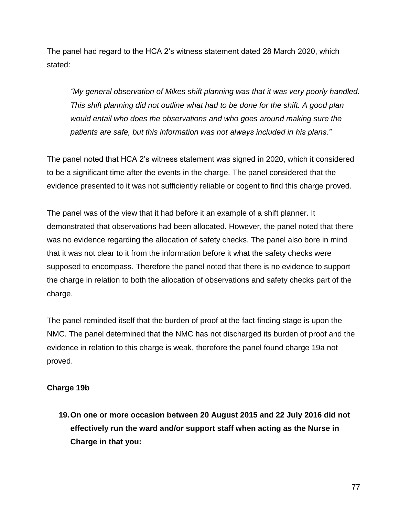The panel had regard to the HCA 2's witness statement dated 28 March 2020, which stated:

*"My general observation of Mikes shift planning was that it was very poorly handled. This shift planning did not outline what had to be done for the shift. A good plan would entail who does the observations and who goes around making sure the patients are safe, but this information was not always included in his plans."*

The panel noted that HCA 2's witness statement was signed in 2020, which it considered to be a significant time after the events in the charge. The panel considered that the evidence presented to it was not sufficiently reliable or cogent to find this charge proved.

The panel was of the view that it had before it an example of a shift planner. It demonstrated that observations had been allocated. However, the panel noted that there was no evidence regarding the allocation of safety checks. The panel also bore in mind that it was not clear to it from the information before it what the safety checks were supposed to encompass. Therefore the panel noted that there is no evidence to support the charge in relation to both the allocation of observations and safety checks part of the charge.

The panel reminded itself that the burden of proof at the fact-finding stage is upon the NMC. The panel determined that the NMC has not discharged its burden of proof and the evidence in relation to this charge is weak, therefore the panel found charge 19a not proved.

#### **Charge 19b**

**19.On one or more occasion between 20 August 2015 and 22 July 2016 did not effectively run the ward and/or support staff when acting as the Nurse in Charge in that you:**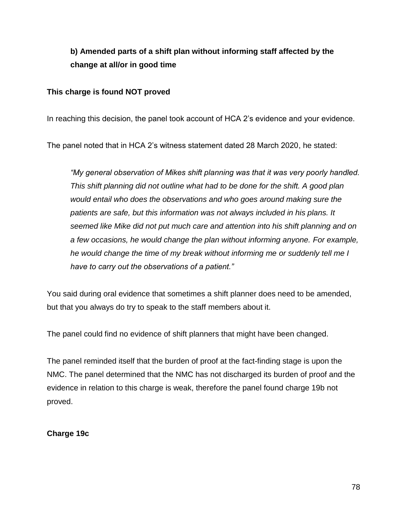# **b) Amended parts of a shift plan without informing staff affected by the change at all/or in good time**

#### **This charge is found NOT proved**

In reaching this decision, the panel took account of HCA 2's evidence and your evidence.

The panel noted that in HCA 2's witness statement dated 28 March 2020, he stated:

*"My general observation of Mikes shift planning was that it was very poorly handled. This shift planning did not outline what had to be done for the shift. A good plan would entail who does the observations and who goes around making sure the patients are safe, but this information was not always included in his plans. It seemed like Mike did not put much care and attention into his shift planning and on a few occasions, he would change the plan without informing anyone. For example, he would change the time of my break without informing me or suddenly tell me I have to carry out the observations of a patient."*

You said during oral evidence that sometimes a shift planner does need to be amended, but that you always do try to speak to the staff members about it.

The panel could find no evidence of shift planners that might have been changed.

The panel reminded itself that the burden of proof at the fact-finding stage is upon the NMC. The panel determined that the NMC has not discharged its burden of proof and the evidence in relation to this charge is weak, therefore the panel found charge 19b not proved.

#### **Charge 19c**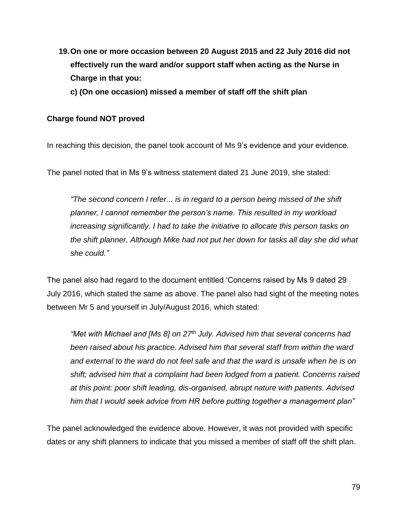- **19.On one or more occasion between 20 August 2015 and 22 July 2016 did not effectively run the ward and/or support staff when acting as the Nurse in Charge in that you:** 
	- **c) (On one occasion) missed a member of staff off the shift plan**

#### **Charge found NOT proved**

In reaching this decision, the panel took account of Ms 9's evidence and your evidence.

The panel noted that in Ms 9's witness statement dated 21 June 2019, she stated:

*"The second concern I refer... is in regard to a person being missed of the shift planner, I cannot remember the person's name. This resulted in my workload increasing significantly. I had to take the initiative to allocate this person tasks on the shift planner. Although Mike had not put her down for tasks all day she did what she could."*

The panel also had regard to the document entitled 'Concerns raised by Ms 9 dated 29 July 2016, which stated the same as above. The panel also had sight of the meeting notes between Mr 5 and yourself in July/August 2016, which stated:

*"Met with Michael and [Ms 8] on 27th July. Advised him that several concerns had been raised about his practice. Advised him that several staff from within the ward and external to the ward do not feel safe and that the ward is unsafe when he is on shift; advised him that a complaint had been lodged from a patient. Concerns raised at this point: poor shift leading, dis-organised, abrupt nature with patients. Advised him that I would seek advice from HR before putting together a management plan"*

The panel acknowledged the evidence above. However, it was not provided with specific dates or any shift planners to indicate that you missed a member of staff off the shift plan.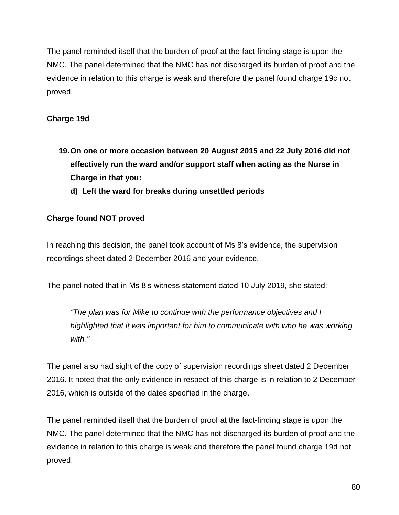The panel reminded itself that the burden of proof at the fact-finding stage is upon the NMC. The panel determined that the NMC has not discharged its burden of proof and the evidence in relation to this charge is weak and therefore the panel found charge 19c not proved.

## **Charge 19d**

- **19.On one or more occasion between 20 August 2015 and 22 July 2016 did not effectively run the ward and/or support staff when acting as the Nurse in Charge in that you:** 
	- **d) Left the ward for breaks during unsettled periods**

## **Charge found NOT proved**

In reaching this decision, the panel took account of Ms 8's evidence, the supervision recordings sheet dated 2 December 2016 and your evidence.

The panel noted that in Ms 8's witness statement dated 10 July 2019, she stated:

*"The plan was for Mike to continue with the performance objectives and I highlighted that it was important for him to communicate with who he was working with."*

The panel also had sight of the copy of supervision recordings sheet dated 2 December 2016. It noted that the only evidence in respect of this charge is in relation to 2 December 2016, which is outside of the dates specified in the charge.

The panel reminded itself that the burden of proof at the fact-finding stage is upon the NMC. The panel determined that the NMC has not discharged its burden of proof and the evidence in relation to this charge is weak and therefore the panel found charge 19d not proved.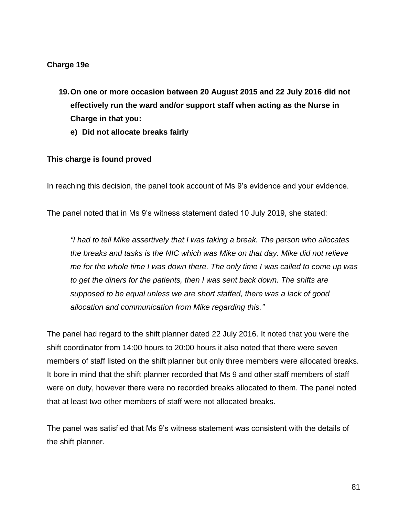#### **Charge 19e**

- **19.On one or more occasion between 20 August 2015 and 22 July 2016 did not effectively run the ward and/or support staff when acting as the Nurse in Charge in that you:** 
	- **e) Did not allocate breaks fairly**

#### **This charge is found proved**

In reaching this decision, the panel took account of Ms 9's evidence and your evidence.

The panel noted that in Ms 9's witness statement dated 10 July 2019, she stated:

*"I had to tell Mike assertively that I was taking a break. The person who allocates the breaks and tasks is the NIC which was Mike on that day. Mike did not relieve me for the whole time I was down there. The only time I was called to come up was to get the diners for the patients, then I was sent back down. The shifts are supposed to be equal unless we are short staffed, there was a lack of good allocation and communication from Mike regarding this."*

The panel had regard to the shift planner dated 22 July 2016. It noted that you were the shift coordinator from 14:00 hours to 20:00 hours it also noted that there were seven members of staff listed on the shift planner but only three members were allocated breaks. It bore in mind that the shift planner recorded that Ms 9 and other staff members of staff were on duty, however there were no recorded breaks allocated to them. The panel noted that at least two other members of staff were not allocated breaks.

The panel was satisfied that Ms 9's witness statement was consistent with the details of the shift planner.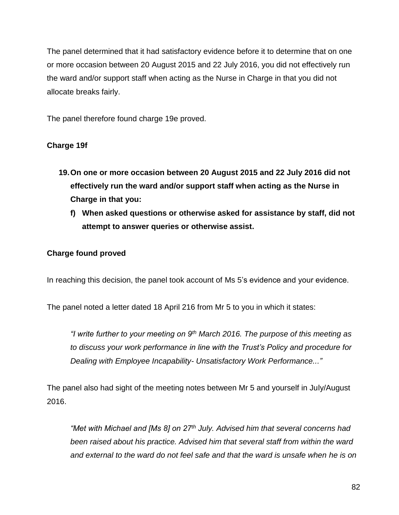The panel determined that it had satisfactory evidence before it to determine that on one or more occasion between 20 August 2015 and 22 July 2016, you did not effectively run the ward and/or support staff when acting as the Nurse in Charge in that you did not allocate breaks fairly.

The panel therefore found charge 19e proved.

# **Charge 19f**

- **19.On one or more occasion between 20 August 2015 and 22 July 2016 did not effectively run the ward and/or support staff when acting as the Nurse in Charge in that you:** 
	- **f) When asked questions or otherwise asked for assistance by staff, did not attempt to answer queries or otherwise assist.**

## **Charge found proved**

In reaching this decision, the panel took account of Ms 5's evidence and your evidence.

The panel noted a letter dated 18 April 216 from Mr 5 to you in which it states:

*"I write further to your meeting on 9th March 2016. The purpose of this meeting as to discuss your work performance in line with the Trust's Policy and procedure for Dealing with Employee Incapability- Unsatisfactory Work Performance..."*

The panel also had sight of the meeting notes between Mr 5 and yourself in July/August 2016.

*"Met with Michael and [Ms 8] on 27th July. Advised him that several concerns had been raised about his practice. Advised him that several staff from within the ward and external to the ward do not feel safe and that the ward is unsafe when he is on*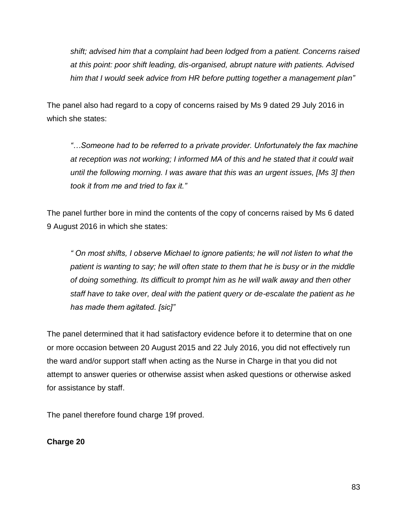*shift; advised him that a complaint had been lodged from a patient. Concerns raised at this point: poor shift leading, dis-organised, abrupt nature with patients. Advised him that I would seek advice from HR before putting together a management plan"*

The panel also had regard to a copy of concerns raised by Ms 9 dated 29 July 2016 in which she states:

*"…Someone had to be referred to a private provider. Unfortunately the fax machine at reception was not working; I informed MA of this and he stated that it could wait until the following morning. I was aware that this was an urgent issues, [Ms 3] then took it from me and tried to fax it."*

The panel further bore in mind the contents of the copy of concerns raised by Ms 6 dated 9 August 2016 in which she states:

*" On most shifts, I observe Michael to ignore patients; he will not listen to what the patient is wanting to say; he will often state to them that he is busy or in the middle of doing something. Its difficult to prompt him as he will walk away and then other staff have to take over, deal with the patient query or de-escalate the patient as he has made them agitated. [sic]"*

The panel determined that it had satisfactory evidence before it to determine that on one or more occasion between 20 August 2015 and 22 July 2016, you did not effectively run the ward and/or support staff when acting as the Nurse in Charge in that you did not attempt to answer queries or otherwise assist when asked questions or otherwise asked for assistance by staff.

The panel therefore found charge 19f proved.

**Charge 20**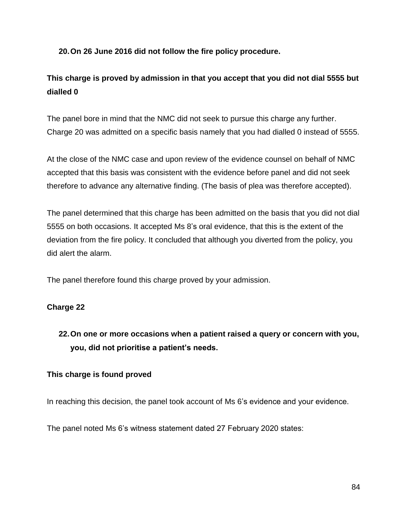#### **20.On 26 June 2016 did not follow the fire policy procedure.**

# **This charge is proved by admission in that you accept that you did not dial 5555 but dialled 0**

The panel bore in mind that the NMC did not seek to pursue this charge any further. Charge 20 was admitted on a specific basis namely that you had dialled 0 instead of 5555.

At the close of the NMC case and upon review of the evidence counsel on behalf of NMC accepted that this basis was consistent with the evidence before panel and did not seek therefore to advance any alternative finding. (The basis of plea was therefore accepted).

The panel determined that this charge has been admitted on the basis that you did not dial 5555 on both occasions. It accepted Ms 8's oral evidence, that this is the extent of the deviation from the fire policy. It concluded that although you diverted from the policy, you did alert the alarm.

The panel therefore found this charge proved by your admission.

# **Charge 22**

# **22.On one or more occasions when a patient raised a query or concern with you, you, did not prioritise a patient's needs.**

#### **This charge is found proved**

In reaching this decision, the panel took account of Ms 6's evidence and your evidence.

The panel noted Ms 6's witness statement dated 27 February 2020 states: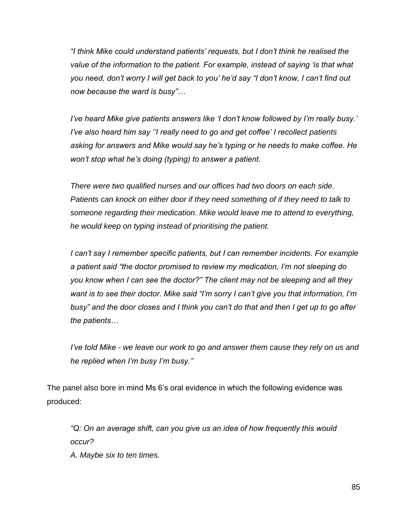*"I think Mike could understand patients' requests, but I don't think he realised the value of the information to the patient. For example, instead of saying 'is that what you need, don't worry I will get back to you' he'd say "I don't know, I can't find out now because the ward is busy"…*

*I've heard Mike give patients answers like 'I don't know followed by I'm really busy.' I've also heard him say ''I really need to go and get coffee' I recollect patients asking for answers and Mike would say he's typing or he needs to make coffee. He won't stop what he's doing (typing) to answer a patient.*

*There were two qualified nurses and our offices had two doors on each side. Patients can knock on either door if they need something of if they need to talk to someone regarding their medication. Mike would leave me to attend to everything, he would keep on typing instead of prioritising the patient.* 

*I can't say I remember specific patients, but I can remember incidents. For example a patient said "the doctor promised to review my medication, I'm not sleeping do you know when I can see the doctor?" The client may not be sleeping and all they want is to see their doctor. Mike said "I'm sorry I can't give you that information, I'm busy" and the door closes and I think you can't do that and then I get up to go after the patients…*

*I've told Mike - we leave our work to go and answer them cause they rely on us and he replied when I'm busy I'm busy."*

The panel also bore in mind Ms 6's oral evidence in which the following evidence was produced:

"Q: On an average shift, can you give us an idea of how frequently this would *occur?*

*A. Maybe six to ten times.*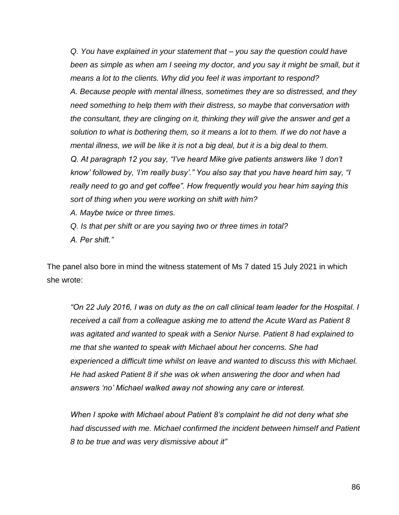*Q. You have explained in your statement that – you say the question could have*  been as simple as when am I seeing my doctor, and you say it might be small, but it *means a lot to the clients. Why did you feel it was important to respond? A. Because people with mental illness, sometimes they are so distressed, and they need something to help them with their distress, so maybe that conversation with the consultant, they are clinging on it, thinking they will give the answer and get a solution to what is bothering them, so it means a lot to them. If we do not have a mental illness, we will be like it is not a big deal, but it is a big deal to them. Q. At paragraph 12 you say, "I've heard Mike give patients answers like 'I don't know' followed by, 'I'm really busy'." You also say that you have heard him say, "I really need to go and get coffee". How frequently would you hear him saying this sort of thing when you were working on shift with him?*

*A. Maybe twice or three times.*

*Q. Is that per shift or are you saying two or three times in total? A. Per shift."*

The panel also bore in mind the witness statement of Ms 7 dated 15 July 2021 in which she wrote:

*"On 22 July 2016, I was on duty as the on call clinical team leader for the Hospital. I received a call from a colleague asking me to attend the Acute Ward as Patient 8 was agitated and wanted to speak with a Senior Nurse. Patient 8 had explained to me that she wanted to speak with Michael about her concerns. She had experienced a difficult time whilst on leave and wanted to discuss this with Michael. He had asked Patient 8 if she was ok when answering the door and when had answers 'no' Michael walked away not showing any care or interest.*

*When I spoke with Michael about Patient 8's complaint he did not deny what she had discussed with me. Michael confirmed the incident between himself and Patient 8 to be true and was very dismissive about it"*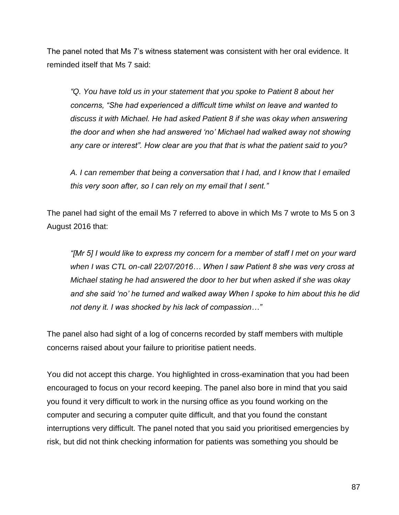The panel noted that Ms 7's witness statement was consistent with her oral evidence. It reminded itself that Ms 7 said:

*"Q. You have told us in your statement that you spoke to Patient 8 about her concerns, "She had experienced a difficult time whilst on leave and wanted to discuss it with Michael. He had asked Patient 8 if she was okay when answering the door and when she had answered 'no' Michael had walked away not showing any care or interest". How clear are you that that is what the patient said to you?*

*A. I can remember that being a conversation that I had, and I know that I emailed this very soon after, so I can rely on my email that I sent."*

The panel had sight of the email Ms 7 referred to above in which Ms 7 wrote to Ms 5 on 3 August 2016 that:

*"[Mr 5] I would like to express my concern for a member of staff I met on your ward when I was CTL on-call 22/07/2016… When I saw Patient 8 she was very cross at Michael stating he had answered the door to her but when asked if she was okay and she said 'no' he turned and walked away When I spoke to him about this he did not deny it. I was shocked by his lack of compassion…"*

The panel also had sight of a log of concerns recorded by staff members with multiple concerns raised about your failure to prioritise patient needs.

You did not accept this charge. You highlighted in cross-examination that you had been encouraged to focus on your record keeping. The panel also bore in mind that you said you found it very difficult to work in the nursing office as you found working on the computer and securing a computer quite difficult, and that you found the constant interruptions very difficult. The panel noted that you said you prioritised emergencies by risk, but did not think checking information for patients was something you should be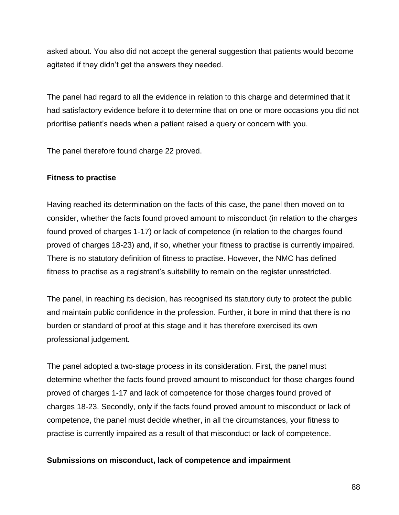asked about. You also did not accept the general suggestion that patients would become agitated if they didn't get the answers they needed.

The panel had regard to all the evidence in relation to this charge and determined that it had satisfactory evidence before it to determine that on one or more occasions you did not prioritise patient's needs when a patient raised a query or concern with you.

The panel therefore found charge 22 proved.

#### **Fitness to practise**

Having reached its determination on the facts of this case, the panel then moved on to consider, whether the facts found proved amount to misconduct (in relation to the charges found proved of charges 1-17) or lack of competence (in relation to the charges found proved of charges 18-23) and, if so, whether your fitness to practise is currently impaired. There is no statutory definition of fitness to practise. However, the NMC has defined fitness to practise as a registrant's suitability to remain on the register unrestricted.

The panel, in reaching its decision, has recognised its statutory duty to protect the public and maintain public confidence in the profession. Further, it bore in mind that there is no burden or standard of proof at this stage and it has therefore exercised its own professional judgement.

The panel adopted a two-stage process in its consideration. First, the panel must determine whether the facts found proved amount to misconduct for those charges found proved of charges 1-17 and lack of competence for those charges found proved of charges 18-23. Secondly, only if the facts found proved amount to misconduct or lack of competence, the panel must decide whether, in all the circumstances, your fitness to practise is currently impaired as a result of that misconduct or lack of competence.

#### **Submissions on misconduct, lack of competence and impairment**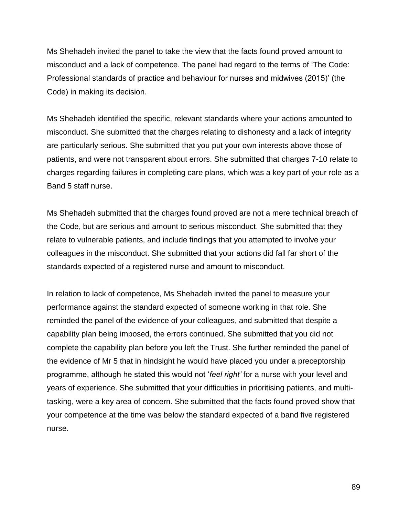Ms Shehadeh invited the panel to take the view that the facts found proved amount to misconduct and a lack of competence. The panel had regard to the terms of 'The Code: Professional standards of practice and behaviour for nurses and midwives (2015)' (the Code) in making its decision.

Ms Shehadeh identified the specific, relevant standards where your actions amounted to misconduct. She submitted that the charges relating to dishonesty and a lack of integrity are particularly serious. She submitted that you put your own interests above those of patients, and were not transparent about errors. She submitted that charges 7-10 relate to charges regarding failures in completing care plans, which was a key part of your role as a Band 5 staff nurse.

Ms Shehadeh submitted that the charges found proved are not a mere technical breach of the Code, but are serious and amount to serious misconduct. She submitted that they relate to vulnerable patients, and include findings that you attempted to involve your colleagues in the misconduct. She submitted that your actions did fall far short of the standards expected of a registered nurse and amount to misconduct.

In relation to lack of competence, Ms Shehadeh invited the panel to measure your performance against the standard expected of someone working in that role. She reminded the panel of the evidence of your colleagues, and submitted that despite a capability plan being imposed, the errors continued. She submitted that you did not complete the capability plan before you left the Trust. She further reminded the panel of the evidence of Mr 5 that in hindsight he would have placed you under a preceptorship programme, although he stated this would not '*feel right'* for a nurse with your level and years of experience. She submitted that your difficulties in prioritising patients, and multitasking, were a key area of concern. She submitted that the facts found proved show that your competence at the time was below the standard expected of a band five registered nurse.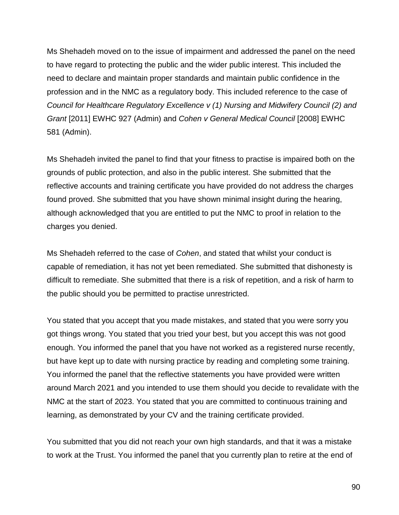Ms Shehadeh moved on to the issue of impairment and addressed the panel on the need to have regard to protecting the public and the wider public interest. This included the need to declare and maintain proper standards and maintain public confidence in the profession and in the NMC as a regulatory body. This included reference to the case of *Council for Healthcare Regulatory Excellence v (1) Nursing and Midwifery Council (2) and Grant* [2011] EWHC 927 (Admin) and *Cohen v General Medical Council* [2008] EWHC 581 (Admin).

Ms Shehadeh invited the panel to find that your fitness to practise is impaired both on the grounds of public protection, and also in the public interest. She submitted that the reflective accounts and training certificate you have provided do not address the charges found proved. She submitted that you have shown minimal insight during the hearing, although acknowledged that you are entitled to put the NMC to proof in relation to the charges you denied.

Ms Shehadeh referred to the case of *Cohen*, and stated that whilst your conduct is capable of remediation, it has not yet been remediated. She submitted that dishonesty is difficult to remediate. She submitted that there is a risk of repetition, and a risk of harm to the public should you be permitted to practise unrestricted.

You stated that you accept that you made mistakes, and stated that you were sorry you got things wrong. You stated that you tried your best, but you accept this was not good enough. You informed the panel that you have not worked as a registered nurse recently, but have kept up to date with nursing practice by reading and completing some training. You informed the panel that the reflective statements you have provided were written around March 2021 and you intended to use them should you decide to revalidate with the NMC at the start of 2023. You stated that you are committed to continuous training and learning, as demonstrated by your CV and the training certificate provided.

You submitted that you did not reach your own high standards, and that it was a mistake to work at the Trust. You informed the panel that you currently plan to retire at the end of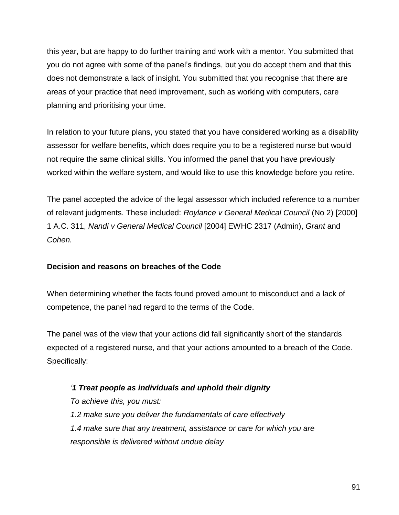this year, but are happy to do further training and work with a mentor. You submitted that you do not agree with some of the panel's findings, but you do accept them and that this does not demonstrate a lack of insight. You submitted that you recognise that there are areas of your practice that need improvement, such as working with computers, care planning and prioritising your time.

In relation to your future plans, you stated that you have considered working as a disability assessor for welfare benefits, which does require you to be a registered nurse but would not require the same clinical skills. You informed the panel that you have previously worked within the welfare system, and would like to use this knowledge before you retire.

The panel accepted the advice of the legal assessor which included reference to a number of relevant judgments. These included: *Roylance v General Medical Council* (No 2) [2000] 1 A.C. 311, *Nandi v General Medical Council* [2004] EWHC 2317 (Admin), *Grant* and *Cohen.*

# **Decision and reasons on breaches of the Code**

When determining whether the facts found proved amount to misconduct and a lack of competence, the panel had regard to the terms of the Code.

The panel was of the view that your actions did fall significantly short of the standards expected of a registered nurse, and that your actions amounted to a breach of the Code. Specifically:

*'1 Treat people as individuals and uphold their dignity To achieve this, you must: 1.2 make sure you deliver the fundamentals of care effectively 1.4 make sure that any treatment, assistance or care for which you are responsible is delivered without undue delay*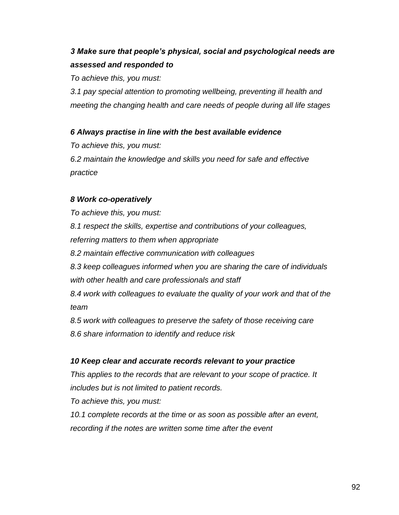# *3 Make sure that people's physical, social and psychological needs are assessed and responded to*

*To achieve this, you must:*

*3.1 pay special attention to promoting wellbeing, preventing ill health and meeting the changing health and care needs of people during all life stages*

*6 Always practise in line with the best available evidence*

*To achieve this, you must: 6.2 maintain the knowledge and skills you need for safe and effective practice*

## *8 Work co-operatively*

*To achieve this, you must: 8.1 respect the skills, expertise and contributions of your colleagues, referring matters to them when appropriate 8.2 maintain effective communication with colleagues 8.3 keep colleagues informed when you are sharing the care of individuals with other health and care professionals and staff 8.4 work with colleagues to evaluate the quality of your work and that of the team*

*8.5 work with colleagues to preserve the safety of those receiving care 8.6 share information to identify and reduce risk*

# *10 Keep clear and accurate records relevant to your practice*

*This applies to the records that are relevant to your scope of practice. It includes but is not limited to patient records.*

*To achieve this, you must:*

*10.1 complete records at the time or as soon as possible after an event, recording if the notes are written some time after the event*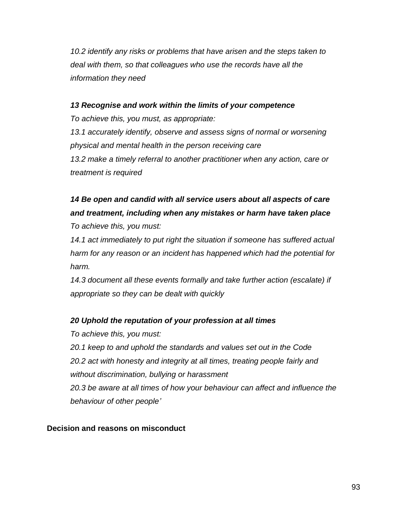*10.2 identify any risks or problems that have arisen and the steps taken to deal with them, so that colleagues who use the records have all the information they need*

#### *13 Recognise and work within the limits of your competence*

*To achieve this, you must, as appropriate:*

*13.1 accurately identify, observe and assess signs of normal or worsening physical and mental health in the person receiving care 13.2 make a timely referral to another practitioner when any action, care or treatment is required*

# *14 Be open and candid with all service users about all aspects of care and treatment, including when any mistakes or harm have taken place*

*To achieve this, you must:*

*14.1 act immediately to put right the situation if someone has suffered actual harm for any reason or an incident has happened which had the potential for harm.*

*14.3 document all these events formally and take further action (escalate) if appropriate so they can be dealt with quickly*

#### *20 Uphold the reputation of your profession at all times*

*To achieve this, you must:*

*20.1 keep to and uphold the standards and values set out in the Code 20.2 act with honesty and integrity at all times, treating people fairly and without discrimination, bullying or harassment*

*20.3 be aware at all times of how your behaviour can affect and influence the behaviour of other people'*

#### **Decision and reasons on misconduct**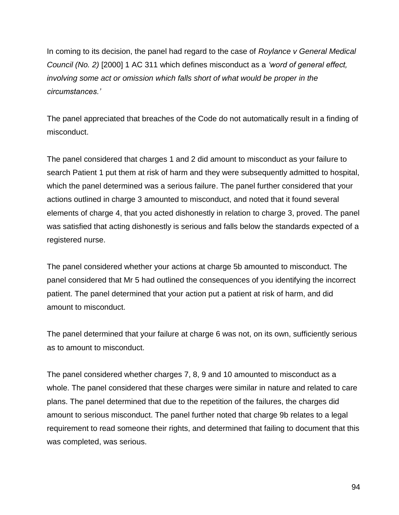In coming to its decision, the panel had regard to the case of *Roylance v General Medical Council (No. 2)* [2000] 1 AC 311 which defines misconduct as a *'word of general effect, involving some act or omission which falls short of what would be proper in the circumstances.'*

The panel appreciated that breaches of the Code do not automatically result in a finding of misconduct.

The panel considered that charges 1 and 2 did amount to misconduct as your failure to search Patient 1 put them at risk of harm and they were subsequently admitted to hospital, which the panel determined was a serious failure. The panel further considered that your actions outlined in charge 3 amounted to misconduct, and noted that it found several elements of charge 4, that you acted dishonestly in relation to charge 3, proved. The panel was satisfied that acting dishonestly is serious and falls below the standards expected of a registered nurse.

The panel considered whether your actions at charge 5b amounted to misconduct. The panel considered that Mr 5 had outlined the consequences of you identifying the incorrect patient. The panel determined that your action put a patient at risk of harm, and did amount to misconduct.

The panel determined that your failure at charge 6 was not, on its own, sufficiently serious as to amount to misconduct.

The panel considered whether charges 7, 8, 9 and 10 amounted to misconduct as a whole. The panel considered that these charges were similar in nature and related to care plans. The panel determined that due to the repetition of the failures, the charges did amount to serious misconduct. The panel further noted that charge 9b relates to a legal requirement to read someone their rights, and determined that failing to document that this was completed, was serious.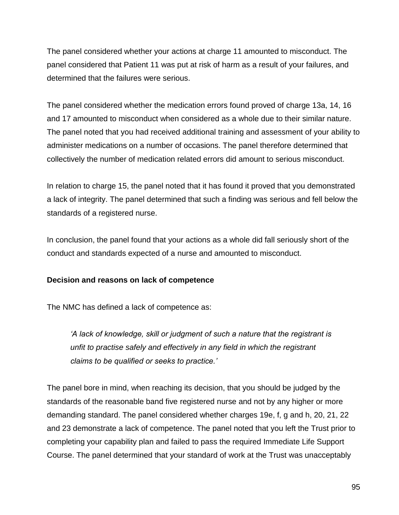The panel considered whether your actions at charge 11 amounted to misconduct. The panel considered that Patient 11 was put at risk of harm as a result of your failures, and determined that the failures were serious.

The panel considered whether the medication errors found proved of charge 13a, 14, 16 and 17 amounted to misconduct when considered as a whole due to their similar nature. The panel noted that you had received additional training and assessment of your ability to administer medications on a number of occasions. The panel therefore determined that collectively the number of medication related errors did amount to serious misconduct.

In relation to charge 15, the panel noted that it has found it proved that you demonstrated a lack of integrity. The panel determined that such a finding was serious and fell below the standards of a registered nurse.

In conclusion, the panel found that your actions as a whole did fall seriously short of the conduct and standards expected of a nurse and amounted to misconduct.

#### **Decision and reasons on lack of competence**

The NMC has defined a lack of competence as:

*'A lack of knowledge, skill or judgment of such a nature that the registrant is unfit to practise safely and effectively in any field in which the registrant claims to be qualified or seeks to practice.'*

The panel bore in mind, when reaching its decision, that you should be judged by the standards of the reasonable band five registered nurse and not by any higher or more demanding standard. The panel considered whether charges 19e, f, g and h, 20, 21, 22 and 23 demonstrate a lack of competence. The panel noted that you left the Trust prior to completing your capability plan and failed to pass the required Immediate Life Support Course. The panel determined that your standard of work at the Trust was unacceptably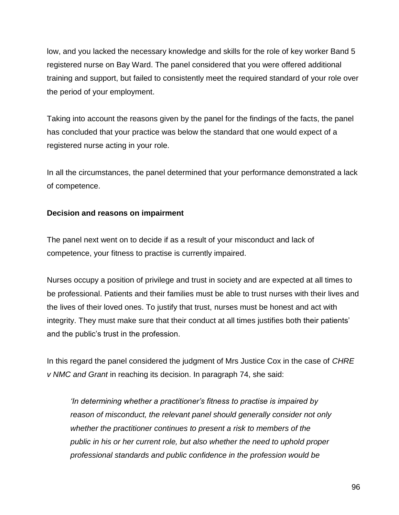low, and you lacked the necessary knowledge and skills for the role of key worker Band 5 registered nurse on Bay Ward. The panel considered that you were offered additional training and support, but failed to consistently meet the required standard of your role over the period of your employment.

Taking into account the reasons given by the panel for the findings of the facts, the panel has concluded that your practice was below the standard that one would expect of a registered nurse acting in your role.

In all the circumstances, the panel determined that your performance demonstrated a lack of competence.

## **Decision and reasons on impairment**

The panel next went on to decide if as a result of your misconduct and lack of competence, your fitness to practise is currently impaired.

Nurses occupy a position of privilege and trust in society and are expected at all times to be professional. Patients and their families must be able to trust nurses with their lives and the lives of their loved ones. To justify that trust, nurses must be honest and act with integrity. They must make sure that their conduct at all times justifies both their patients' and the public's trust in the profession.

In this regard the panel considered the judgment of Mrs Justice Cox in the case of *CHRE v NMC and Grant* in reaching its decision. In paragraph 74, she said:

*'In determining whether a practitioner's fitness to practise is impaired by reason of misconduct, the relevant panel should generally consider not only whether the practitioner continues to present a risk to members of the public in his or her current role, but also whether the need to uphold proper professional standards and public confidence in the profession would be*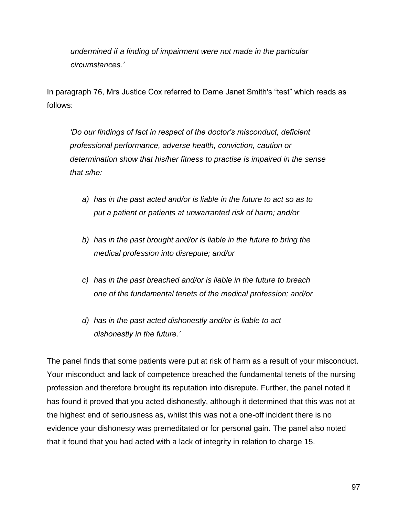*undermined if a finding of impairment were not made in the particular circumstances.'*

In paragraph 76, Mrs Justice Cox referred to Dame Janet Smith's "test" which reads as follows:

*'Do our findings of fact in respect of the doctor's misconduct, deficient professional performance, adverse health, conviction, caution or determination show that his/her fitness to practise is impaired in the sense that s/he:*

- *a) has in the past acted and/or is liable in the future to act so as to put a patient or patients at unwarranted risk of harm; and/or*
- *b) has in the past brought and/or is liable in the future to bring the medical profession into disrepute; and/or*
- *c) has in the past breached and/or is liable in the future to breach one of the fundamental tenets of the medical profession; and/or*
- *d) has in the past acted dishonestly and/or is liable to act dishonestly in the future.'*

The panel finds that some patients were put at risk of harm as a result of your misconduct. Your misconduct and lack of competence breached the fundamental tenets of the nursing profession and therefore brought its reputation into disrepute. Further, the panel noted it has found it proved that you acted dishonestly, although it determined that this was not at the highest end of seriousness as, whilst this was not a one-off incident there is no evidence your dishonesty was premeditated or for personal gain. The panel also noted that it found that you had acted with a lack of integrity in relation to charge 15.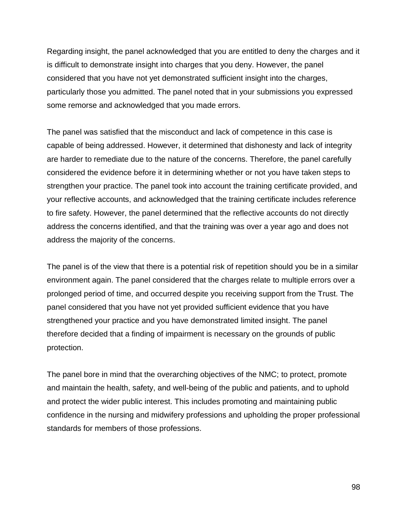Regarding insight, the panel acknowledged that you are entitled to deny the charges and it is difficult to demonstrate insight into charges that you deny. However, the panel considered that you have not yet demonstrated sufficient insight into the charges, particularly those you admitted. The panel noted that in your submissions you expressed some remorse and acknowledged that you made errors.

The panel was satisfied that the misconduct and lack of competence in this case is capable of being addressed. However, it determined that dishonesty and lack of integrity are harder to remediate due to the nature of the concerns. Therefore, the panel carefully considered the evidence before it in determining whether or not you have taken steps to strengthen your practice. The panel took into account the training certificate provided, and your reflective accounts, and acknowledged that the training certificate includes reference to fire safety. However, the panel determined that the reflective accounts do not directly address the concerns identified, and that the training was over a year ago and does not address the majority of the concerns.

The panel is of the view that there is a potential risk of repetition should you be in a similar environment again. The panel considered that the charges relate to multiple errors over a prolonged period of time, and occurred despite you receiving support from the Trust. The panel considered that you have not yet provided sufficient evidence that you have strengthened your practice and you have demonstrated limited insight. The panel therefore decided that a finding of impairment is necessary on the grounds of public protection.

The panel bore in mind that the overarching objectives of the NMC; to protect, promote and maintain the health, safety, and well-being of the public and patients, and to uphold and protect the wider public interest. This includes promoting and maintaining public confidence in the nursing and midwifery professions and upholding the proper professional standards for members of those professions.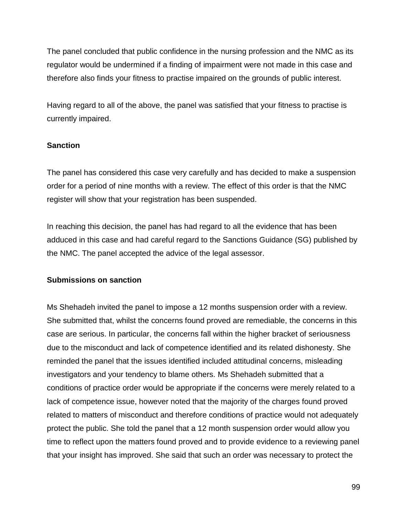The panel concluded that public confidence in the nursing profession and the NMC as its regulator would be undermined if a finding of impairment were not made in this case and therefore also finds your fitness to practise impaired on the grounds of public interest.

Having regard to all of the above, the panel was satisfied that your fitness to practise is currently impaired.

#### **Sanction**

The panel has considered this case very carefully and has decided to make a suspension order for a period of nine months with a review. The effect of this order is that the NMC register will show that your registration has been suspended.

In reaching this decision, the panel has had regard to all the evidence that has been adduced in this case and had careful regard to the Sanctions Guidance (SG) published by the NMC. The panel accepted the advice of the legal assessor.

#### **Submissions on sanction**

Ms Shehadeh invited the panel to impose a 12 months suspension order with a review. She submitted that, whilst the concerns found proved are remediable, the concerns in this case are serious. In particular, the concerns fall within the higher bracket of seriousness due to the misconduct and lack of competence identified and its related dishonesty. She reminded the panel that the issues identified included attitudinal concerns, misleading investigators and your tendency to blame others. Ms Shehadeh submitted that a conditions of practice order would be appropriate if the concerns were merely related to a lack of competence issue, however noted that the majority of the charges found proved related to matters of misconduct and therefore conditions of practice would not adequately protect the public. She told the panel that a 12 month suspension order would allow you time to reflect upon the matters found proved and to provide evidence to a reviewing panel that your insight has improved. She said that such an order was necessary to protect the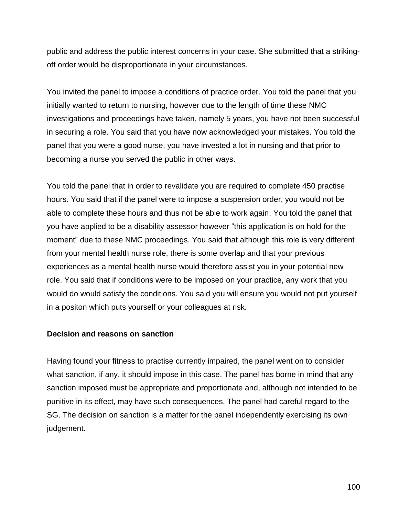public and address the public interest concerns in your case. She submitted that a strikingoff order would be disproportionate in your circumstances.

You invited the panel to impose a conditions of practice order. You told the panel that you initially wanted to return to nursing, however due to the length of time these NMC investigations and proceedings have taken, namely 5 years, you have not been successful in securing a role. You said that you have now acknowledged your mistakes. You told the panel that you were a good nurse, you have invested a lot in nursing and that prior to becoming a nurse you served the public in other ways.

You told the panel that in order to revalidate you are required to complete 450 practise hours. You said that if the panel were to impose a suspension order, you would not be able to complete these hours and thus not be able to work again. You told the panel that you have applied to be a disability assessor however "this application is on hold for the moment" due to these NMC proceedings. You said that although this role is very different from your mental health nurse role, there is some overlap and that your previous experiences as a mental health nurse would therefore assist you in your potential new role. You said that if conditions were to be imposed on your practice, any work that you would do would satisfy the conditions. You said you will ensure you would not put yourself in a positon which puts yourself or your colleagues at risk.

#### **Decision and reasons on sanction**

Having found your fitness to practise currently impaired, the panel went on to consider what sanction, if any, it should impose in this case. The panel has borne in mind that any sanction imposed must be appropriate and proportionate and, although not intended to be punitive in its effect, may have such consequences. The panel had careful regard to the SG. The decision on sanction is a matter for the panel independently exercising its own judgement.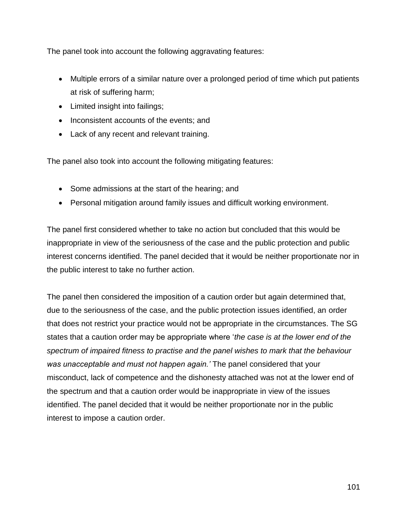The panel took into account the following aggravating features:

- Multiple errors of a similar nature over a prolonged period of time which put patients at risk of suffering harm;
- Limited insight into failings;
- Inconsistent accounts of the events; and
- Lack of any recent and relevant training.

The panel also took into account the following mitigating features:

- Some admissions at the start of the hearing; and
- Personal mitigation around family issues and difficult working environment.

The panel first considered whether to take no action but concluded that this would be inappropriate in view of the seriousness of the case and the public protection and public interest concerns identified. The panel decided that it would be neither proportionate nor in the public interest to take no further action.

The panel then considered the imposition of a caution order but again determined that, due to the seriousness of the case, and the public protection issues identified, an order that does not restrict your practice would not be appropriate in the circumstances. The SG states that a caution order may be appropriate where '*the case is at the lower end of the spectrum of impaired fitness to practise and the panel wishes to mark that the behaviour was unacceptable and must not happen again.'* The panel considered that your misconduct, lack of competence and the dishonesty attached was not at the lower end of the spectrum and that a caution order would be inappropriate in view of the issues identified. The panel decided that it would be neither proportionate nor in the public interest to impose a caution order.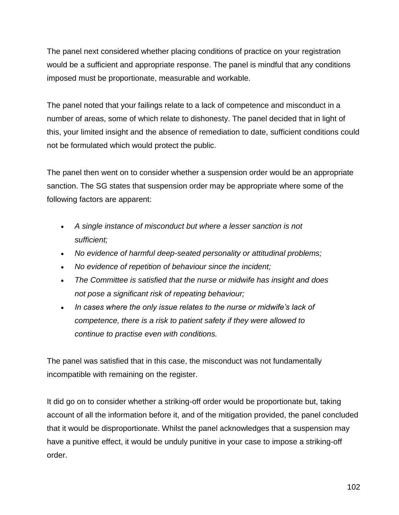The panel next considered whether placing conditions of practice on your registration would be a sufficient and appropriate response. The panel is mindful that any conditions imposed must be proportionate, measurable and workable.

The panel noted that your failings relate to a lack of competence and misconduct in a number of areas, some of which relate to dishonesty. The panel decided that in light of this, your limited insight and the absence of remediation to date, sufficient conditions could not be formulated which would protect the public.

The panel then went on to consider whether a suspension order would be an appropriate sanction. The SG states that suspension order may be appropriate where some of the following factors are apparent:

- *A single instance of misconduct but where a lesser sanction is not sufficient;*
- *No evidence of harmful deep-seated personality or attitudinal problems;*
- *No evidence of repetition of behaviour since the incident;*
- *The Committee is satisfied that the nurse or midwife has insight and does not pose a significant risk of repeating behaviour;*
- *In cases where the only issue relates to the nurse or midwife's lack of competence, there is a risk to patient safety if they were allowed to continue to practise even with conditions.*

The panel was satisfied that in this case, the misconduct was not fundamentally incompatible with remaining on the register.

It did go on to consider whether a striking-off order would be proportionate but, taking account of all the information before it, and of the mitigation provided, the panel concluded that it would be disproportionate. Whilst the panel acknowledges that a suspension may have a punitive effect, it would be unduly punitive in your case to impose a striking-off order.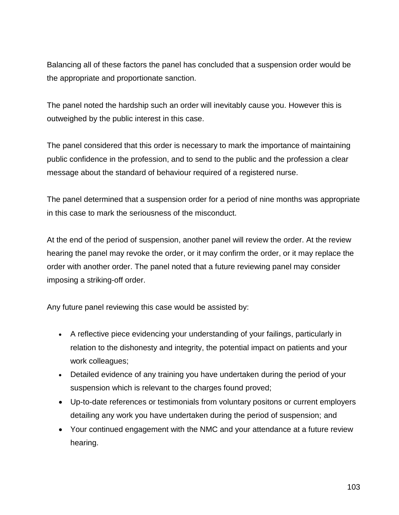Balancing all of these factors the panel has concluded that a suspension order would be the appropriate and proportionate sanction.

The panel noted the hardship such an order will inevitably cause you. However this is outweighed by the public interest in this case.

The panel considered that this order is necessary to mark the importance of maintaining public confidence in the profession, and to send to the public and the profession a clear message about the standard of behaviour required of a registered nurse.

The panel determined that a suspension order for a period of nine months was appropriate in this case to mark the seriousness of the misconduct.

At the end of the period of suspension, another panel will review the order. At the review hearing the panel may revoke the order, or it may confirm the order, or it may replace the order with another order. The panel noted that a future reviewing panel may consider imposing a striking-off order.

Any future panel reviewing this case would be assisted by:

- A reflective piece evidencing your understanding of your failings, particularly in relation to the dishonesty and integrity, the potential impact on patients and your work colleagues;
- Detailed evidence of any training you have undertaken during the period of your suspension which is relevant to the charges found proved;
- Up-to-date references or testimonials from voluntary positons or current employers detailing any work you have undertaken during the period of suspension; and
- Your continued engagement with the NMC and your attendance at a future review hearing.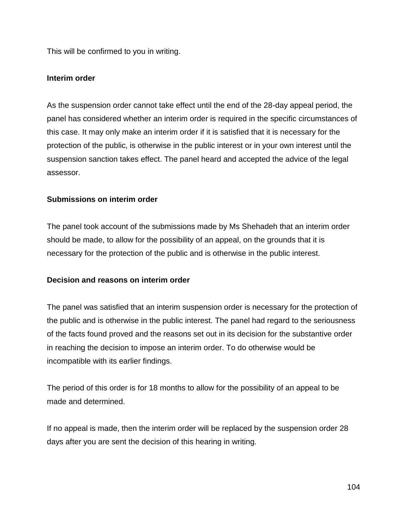This will be confirmed to you in writing.

#### **Interim order**

As the suspension order cannot take effect until the end of the 28-day appeal period, the panel has considered whether an interim order is required in the specific circumstances of this case. It may only make an interim order if it is satisfied that it is necessary for the protection of the public, is otherwise in the public interest or in your own interest until the suspension sanction takes effect. The panel heard and accepted the advice of the legal assessor.

#### **Submissions on interim order**

The panel took account of the submissions made by Ms Shehadeh that an interim order should be made, to allow for the possibility of an appeal, on the grounds that it is necessary for the protection of the public and is otherwise in the public interest.

#### **Decision and reasons on interim order**

The panel was satisfied that an interim suspension order is necessary for the protection of the public and is otherwise in the public interest. The panel had regard to the seriousness of the facts found proved and the reasons set out in its decision for the substantive order in reaching the decision to impose an interim order. To do otherwise would be incompatible with its earlier findings.

The period of this order is for 18 months to allow for the possibility of an appeal to be made and determined.

If no appeal is made, then the interim order will be replaced by the suspension order 28 days after you are sent the decision of this hearing in writing.